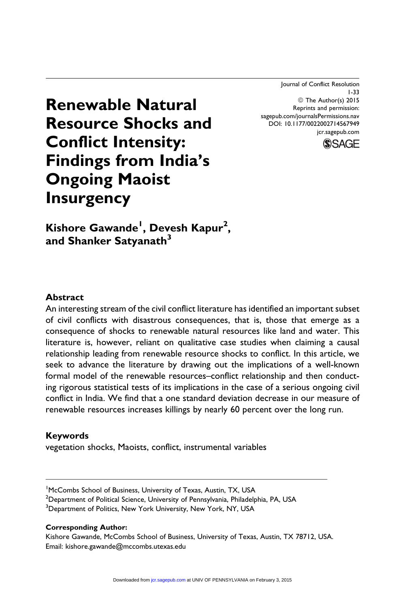Journal of Conflict Resolution 1-33 © The Author(s) 2015 Reprints and permission: [sagepub.com/journalsPermissions.nav](http://www.sagepub.com/journalsPermissions.nav) DOI: 10.1177/0022002714567949 [jcr.sagepub.com](http://jcr.sagepub.com)



# Renewable Natural Resource Shocks and Conflict Intensity: Findings from India's Ongoing Maoist **Insurgency**

Kishore Gawande<sup>1</sup>, Devesh Kapur<sup>2</sup>, and Shanker Satyanath<sup>3</sup>

#### Abstract

An interesting stream of the civil conflict literature has identified an important subset of civil conflicts with disastrous consequences, that is, those that emerge as a consequence of shocks to renewable natural resources like land and water. This literature is, however, reliant on qualitative case studies when claiming a causal relationship leading from renewable resource shocks to conflict. In this article, we seek to advance the literature by drawing out the implications of a well-known formal model of the renewable resources–conflict relationship and then conducting rigorous statistical tests of its implications in the case of a serious ongoing civil conflict in India. We find that a one standard deviation decrease in our measure of renewable resources increases killings by nearly 60 percent over the long run.

## Keywords

vegetation shocks, Maoists, conflict, instrumental variables

#### Corresponding Author:

Kishore Gawande, McCombs School of Business, University of Texas, Austin, TX 78712, USA. Email: kishore.gawande@mccombs.utexas.edu

<sup>&</sup>lt;sup>1</sup>McCombs School of Business, University of Texas, Austin, TX, USA

<sup>&</sup>lt;sup>2</sup>Department of Political Science, University of Pennsylvania, Philadelphia, PA, USA <sup>3</sup>Department of Politics, New York University, New York, NY, USA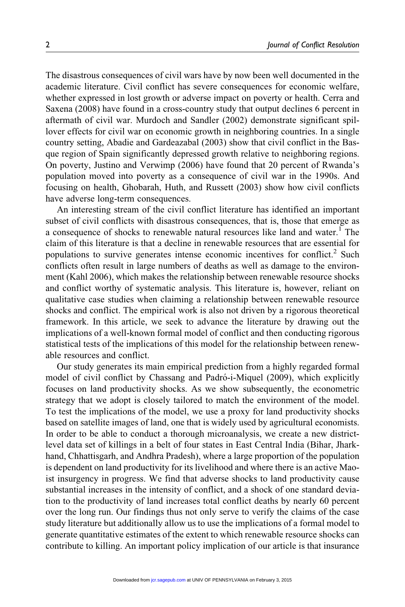The disastrous consequences of civil wars have by now been well documented in the academic literature. Civil conflict has severe consequences for economic welfare, whether expressed in lost growth or adverse impact on poverty or health. Cerra and Saxena (2008) have found in a cross-country study that output declines 6 percent in aftermath of civil war. Murdoch and Sandler (2002) demonstrate significant spillover effects for civil war on economic growth in neighboring countries. In a single country setting, Abadie and Gardeazabal (2003) show that civil conflict in the Basque region of Spain significantly depressed growth relative to neighboring regions. On poverty, Justino and Verwimp (2006) have found that 20 percent of Rwanda's population moved into poverty as a consequence of civil war in the 1990s. And focusing on health, Ghobarah, Huth, and Russett (2003) show how civil conflicts have adverse long-term consequences.

An interesting stream of the civil conflict literature has identified an important subset of civil conflicts with disastrous consequences, that is, those that emerge as a consequence of shocks to renewable natural resources like land and water.<sup>1</sup> The claim of this literature is that a decline in renewable resources that are essential for populations to survive generates intense economic incentives for conflict.<sup>2</sup> Such conflicts often result in large numbers of deaths as well as damage to the environment (Kahl 2006), which makes the relationship between renewable resource shocks and conflict worthy of systematic analysis. This literature is, however, reliant on qualitative case studies when claiming a relationship between renewable resource shocks and conflict. The empirical work is also not driven by a rigorous theoretical framework. In this article, we seek to advance the literature by drawing out the implications of a well-known formal model of conflict and then conducting rigorous statistical tests of the implications of this model for the relationship between renewable resources and conflict.

Our study generates its main empirical prediction from a highly regarded formal model of civil conflict by Chassang and Padró-i-Miquel (2009), which explicitly focuses on land productivity shocks. As we show subsequently, the econometric strategy that we adopt is closely tailored to match the environment of the model. To test the implications of the model, we use a proxy for land productivity shocks based on satellite images of land, one that is widely used by agricultural economists. In order to be able to conduct a thorough microanalysis, we create a new districtlevel data set of killings in a belt of four states in East Central India (Bihar, Jharkhand, Chhattisgarh, and Andhra Pradesh), where a large proportion of the population is dependent on land productivity for its livelihood and where there is an active Maoist insurgency in progress. We find that adverse shocks to land productivity cause substantial increases in the intensity of conflict, and a shock of one standard deviation to the productivity of land increases total conflict deaths by nearly 60 percent over the long run. Our findings thus not only serve to verify the claims of the case study literature but additionally allow us to use the implications of a formal model to generate quantitative estimates of the extent to which renewable resource shocks can contribute to killing. An important policy implication of our article is that insurance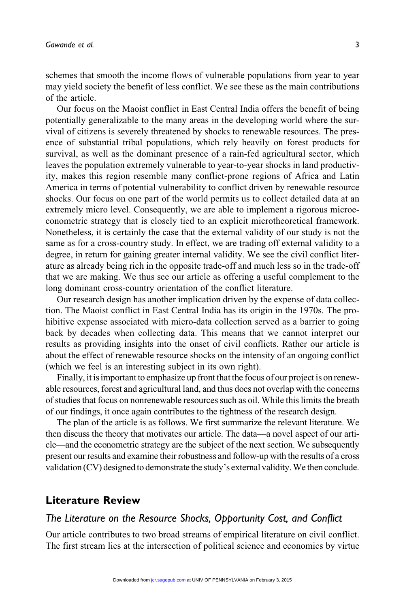schemes that smooth the income flows of vulnerable populations from year to year may yield society the benefit of less conflict. We see these as the main contributions of the article.

Our focus on the Maoist conflict in East Central India offers the benefit of being potentially generalizable to the many areas in the developing world where the survival of citizens is severely threatened by shocks to renewable resources. The presence of substantial tribal populations, which rely heavily on forest products for survival, as well as the dominant presence of a rain-fed agricultural sector, which leaves the population extremely vulnerable to year-to-year shocks in land productivity, makes this region resemble many conflict-prone regions of Africa and Latin America in terms of potential vulnerability to conflict driven by renewable resource shocks. Our focus on one part of the world permits us to collect detailed data at an extremely micro level. Consequently, we are able to implement a rigorous microeconometric strategy that is closely tied to an explicit microtheoretical framework. Nonetheless, it is certainly the case that the external validity of our study is not the same as for a cross-country study. In effect, we are trading off external validity to a degree, in return for gaining greater internal validity. We see the civil conflict literature as already being rich in the opposite trade-off and much less so in the trade-off that we are making. We thus see our article as offering a useful complement to the long dominant cross-country orientation of the conflict literature.

Our research design has another implication driven by the expense of data collection. The Maoist conflict in East Central India has its origin in the 1970s. The prohibitive expense associated with micro-data collection served as a barrier to going back by decades when collecting data. This means that we cannot interpret our results as providing insights into the onset of civil conflicts. Rather our article is about the effect of renewable resource shocks on the intensity of an ongoing conflict (which we feel is an interesting subject in its own right).

Finally, it is important to emphasize up front that the focus of our project is on renewable resources, forest and agricultural land, and thus does not overlap with the concerns of studies that focus on nonrenewable resources such as oil. While this limits the breath of our findings, it once again contributes to the tightness of the research design.

The plan of the article is as follows. We first summarize the relevant literature. We then discuss the theory that motivates our article. The data—a novel aspect of our article—and the econometric strategy are the subject of the next section. We subsequently present our results and examine their robustness and follow-up with the results of a cross validation (CV) designed to demonstrate the study's external validity.We then conclude.

## Literature Review

## The Literature on the Resource Shocks, Opportunity Cost, and Conflict

Our article contributes to two broad streams of empirical literature on civil conflict. The first stream lies at the intersection of political science and economics by virtue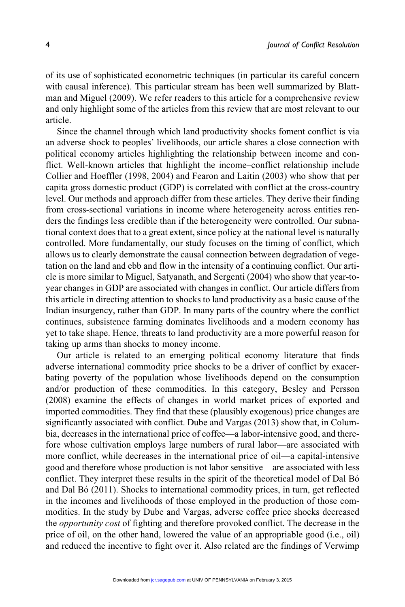of its use of sophisticated econometric techniques (in particular its careful concern with causal inference). This particular stream has been well summarized by Blattman and Miguel (2009). We refer readers to this article for a comprehensive review and only highlight some of the articles from this review that are most relevant to our article.

Since the channel through which land productivity shocks foment conflict is via an adverse shock to peoples' livelihoods, our article shares a close connection with political economy articles highlighting the relationship between income and conflict. Well-known articles that highlight the income–conflict relationship include Collier and Hoeffler (1998, 2004) and Fearon and Laitin (2003) who show that per capita gross domestic product (GDP) is correlated with conflict at the cross-country level. Our methods and approach differ from these articles. They derive their finding from cross-sectional variations in income where heterogeneity across entities renders the findings less credible than if the heterogeneity were controlled. Our subnational context does that to a great extent, since policy at the national level is naturally controlled. More fundamentally, our study focuses on the timing of conflict, which allows us to clearly demonstrate the causal connection between degradation of vegetation on the land and ebb and flow in the intensity of a continuing conflict. Our article is more similar to Miguel, Satyanath, and Sergenti (2004) who show that year-toyear changes in GDP are associated with changes in conflict. Our article differs from this article in directing attention to shocks to land productivity as a basic cause of the Indian insurgency, rather than GDP. In many parts of the country where the conflict continues, subsistence farming dominates livelihoods and a modern economy has yet to take shape. Hence, threats to land productivity are a more powerful reason for taking up arms than shocks to money income.

Our article is related to an emerging political economy literature that finds adverse international commodity price shocks to be a driver of conflict by exacerbating poverty of the population whose livelihoods depend on the consumption and/or production of these commodities. In this category, Besley and Persson (2008) examine the effects of changes in world market prices of exported and imported commodities. They find that these (plausibly exogenous) price changes are significantly associated with conflict. Dube and Vargas (2013) show that, in Columbia, decreases in the international price of coffee—a labor-intensive good, and therefore whose cultivation employs large numbers of rural labor—are associated with more conflict, while decreases in the international price of oil—a capital-intensive good and therefore whose production is not labor sensitive—are associated with less conflict. They interpret these results in the spirit of the theoretical model of Dal Bo and Dal Bó (2011). Shocks to international commodity prices, in turn, get reflected in the incomes and livelihoods of those employed in the production of those commodities. In the study by Dube and Vargas, adverse coffee price shocks decreased the opportunity cost of fighting and therefore provoked conflict. The decrease in the price of oil, on the other hand, lowered the value of an appropriable good (i.e., oil) and reduced the incentive to fight over it. Also related are the findings of Verwimp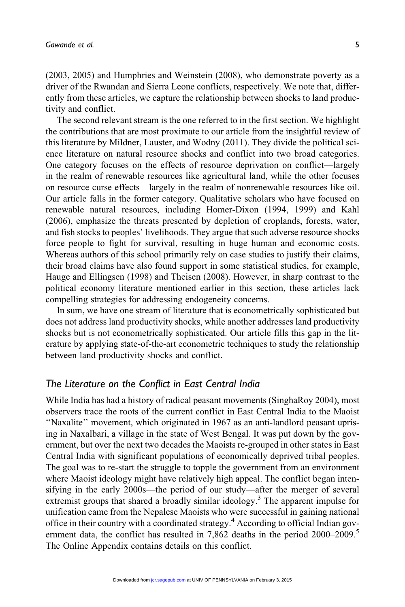(2003, 2005) and Humphries and Weinstein (2008), who demonstrate poverty as a driver of the Rwandan and Sierra Leone conflicts, respectively. We note that, differently from these articles, we capture the relationship between shocks to land productivity and conflict.

The second relevant stream is the one referred to in the first section. We highlight the contributions that are most proximate to our article from the insightful review of this literature by Mildner, Lauster, and Wodny (2011). They divide the political science literature on natural resource shocks and conflict into two broad categories. One category focuses on the effects of resource deprivation on conflict—largely in the realm of renewable resources like agricultural land, while the other focuses on resource curse effects—largely in the realm of nonrenewable resources like oil. Our article falls in the former category. Qualitative scholars who have focused on renewable natural resources, including Homer-Dixon (1994, 1999) and Kahl (2006), emphasize the threats presented by depletion of croplands, forests, water, and fish stocks to peoples' livelihoods. They argue that such adverse resource shocks force people to fight for survival, resulting in huge human and economic costs. Whereas authors of this school primarily rely on case studies to justify their claims, their broad claims have also found support in some statistical studies, for example, Hauge and Ellingsen (1998) and Theisen (2008). However, in sharp contrast to the political economy literature mentioned earlier in this section, these articles lack compelling strategies for addressing endogeneity concerns.

In sum, we have one stream of literature that is econometrically sophisticated but does not address land productivity shocks, while another addresses land productivity shocks but is not econometrically sophisticated. Our article fills this gap in the literature by applying state-of-the-art econometric techniques to study the relationship between land productivity shocks and conflict.

## The Literature on the Conflict in East Central India

While India has had a history of radical peasant movements (SinghaRoy 2004), most observers trace the roots of the current conflict in East Central India to the Maoist ''Naxalite'' movement, which originated in 1967 as an anti-landlord peasant uprising in Naxalbari, a village in the state of West Bengal. It was put down by the government, but over the next two decades the Maoists re-grouped in other states in East Central India with significant populations of economically deprived tribal peoples. The goal was to re-start the struggle to topple the government from an environment where Maoist ideology might have relatively high appeal. The conflict began intensifying in the early 2000s—the period of our study—after the merger of several extremist groups that shared a broadly similar ideology.<sup>3</sup> The apparent impulse for unification came from the Nepalese Maoists who were successful in gaining national office in their country with a coordinated strategy.<sup>4</sup> According to official Indian government data, the conflict has resulted in 7,862 deaths in the period  $2000-2009$ .<sup>5</sup> The Online Appendix contains details on this conflict.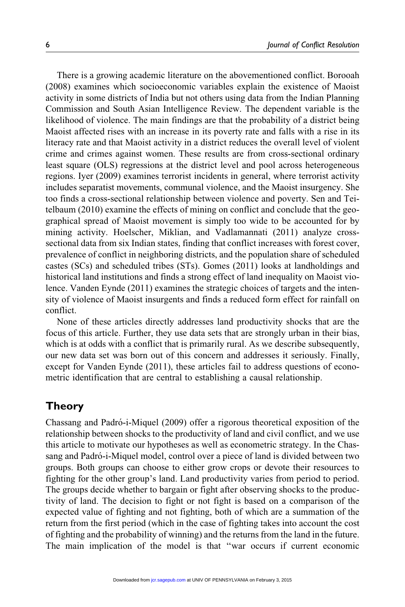There is a growing academic literature on the abovementioned conflict. Borooah (2008) examines which socioeconomic variables explain the existence of Maoist activity in some districts of India but not others using data from the Indian Planning Commission and South Asian Intelligence Review. The dependent variable is the likelihood of violence. The main findings are that the probability of a district being Maoist affected rises with an increase in its poverty rate and falls with a rise in its literacy rate and that Maoist activity in a district reduces the overall level of violent crime and crimes against women. These results are from cross-sectional ordinary least square (OLS) regressions at the district level and pool across heterogeneous regions. Iyer (2009) examines terrorist incidents in general, where terrorist activity includes separatist movements, communal violence, and the Maoist insurgency. She too finds a cross-sectional relationship between violence and poverty. Sen and Teitelbaum (2010) examine the effects of mining on conflict and conclude that the geographical spread of Maoist movement is simply too wide to be accounted for by mining activity. Hoelscher, Miklian, and Vadlamannati (2011) analyze crosssectional data from six Indian states, finding that conflict increases with forest cover, prevalence of conflict in neighboring districts, and the population share of scheduled castes (SCs) and scheduled tribes (STs). Gomes (2011) looks at landholdings and historical land institutions and finds a strong effect of land inequality on Maoist violence. Vanden Eynde (2011) examines the strategic choices of targets and the intensity of violence of Maoist insurgents and finds a reduced form effect for rainfall on conflict.

None of these articles directly addresses land productivity shocks that are the focus of this article. Further, they use data sets that are strongly urban in their bias, which is at odds with a conflict that is primarily rural. As we describe subsequently, our new data set was born out of this concern and addresses it seriously. Finally, except for Vanden Eynde (2011), these articles fail to address questions of econometric identification that are central to establishing a causal relationship.

# Theory

Chassang and Padró-i-Miquel (2009) offer a rigorous theoretical exposition of the relationship between shocks to the productivity of land and civil conflict, and we use this article to motivate our hypotheses as well as econometric strategy. In the Chassang and Padró-i-Miquel model, control over a piece of land is divided between two groups. Both groups can choose to either grow crops or devote their resources to fighting for the other group's land. Land productivity varies from period to period. The groups decide whether to bargain or fight after observing shocks to the productivity of land. The decision to fight or not fight is based on a comparison of the expected value of fighting and not fighting, both of which are a summation of the return from the first period (which in the case of fighting takes into account the cost of fighting and the probability of winning) and the returns from the land in the future. The main implication of the model is that ''war occurs if current economic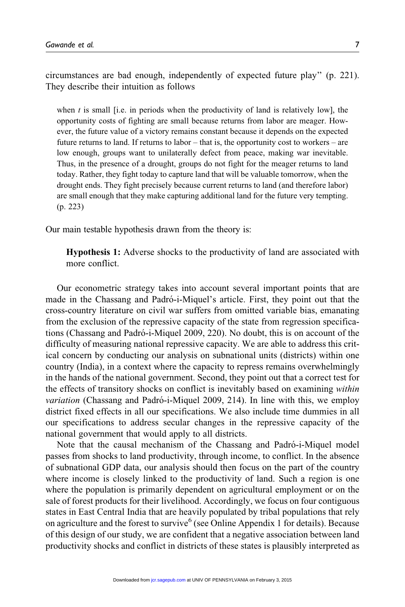circumstances are bad enough, independently of expected future play'' (p. 221). They describe their intuition as follows

when  $t$  is small [i.e. in periods when the productivity of land is relatively low], the opportunity costs of fighting are small because returns from labor are meager. However, the future value of a victory remains constant because it depends on the expected future returns to land. If returns to labor – that is, the opportunity cost to workers – are low enough, groups want to unilaterally defect from peace, making war inevitable. Thus, in the presence of a drought, groups do not fight for the meager returns to land today. Rather, they fight today to capture land that will be valuable tomorrow, when the drought ends. They fight precisely because current returns to land (and therefore labor) are small enough that they make capturing additional land for the future very tempting. (p. 223)

Our main testable hypothesis drawn from the theory is:

Hypothesis 1: Adverse shocks to the productivity of land are associated with more conflict.

Our econometric strategy takes into account several important points that are made in the Chassang and Padró-i-Miquel's article. First, they point out that the cross-country literature on civil war suffers from omitted variable bias, emanating from the exclusion of the repressive capacity of the state from regression specifications (Chassang and Padró-i-Miquel 2009, 220). No doubt, this is on account of the difficulty of measuring national repressive capacity. We are able to address this critical concern by conducting our analysis on subnational units (districts) within one country (India), in a context where the capacity to repress remains overwhelmingly in the hands of the national government. Second, they point out that a correct test for the effects of transitory shocks on conflict is inevitably based on examining within variation (Chassang and Padró-i-Miquel 2009, 214). In line with this, we employ district fixed effects in all our specifications. We also include time dummies in all our specifications to address secular changes in the repressive capacity of the national government that would apply to all districts.

Note that the causal mechanism of the Chassang and Padró-i-Miquel model passes from shocks to land productivity, through income, to conflict. In the absence of subnational GDP data, our analysis should then focus on the part of the country where income is closely linked to the productivity of land. Such a region is one where the population is primarily dependent on agricultural employment or on the sale of forest products for their livelihood. Accordingly, we focus on four contiguous states in East Central India that are heavily populated by tribal populations that rely on agriculture and the forest to survive  $6$  (see Online Appendix 1 for details). Because of this design of our study, we are confident that a negative association between land productivity shocks and conflict in districts of these states is plausibly interpreted as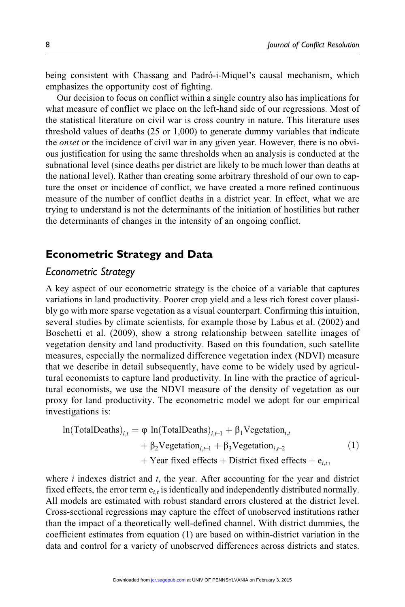being consistent with Chassang and Padró-i-Miquel's causal mechanism, which emphasizes the opportunity cost of fighting.

Our decision to focus on conflict within a single country also has implications for what measure of conflict we place on the left-hand side of our regressions. Most of the statistical literature on civil war is cross country in nature. This literature uses threshold values of deaths (25 or 1,000) to generate dummy variables that indicate the onset or the incidence of civil war in any given year. However, there is no obvious justification for using the same thresholds when an analysis is conducted at the subnational level (since deaths per district are likely to be much lower than deaths at the national level). Rather than creating some arbitrary threshold of our own to capture the onset or incidence of conflict, we have created a more refined continuous measure of the number of conflict deaths in a district year. In effect, what we are trying to understand is not the determinants of the initiation of hostilities but rather the determinants of changes in the intensity of an ongoing conflict.

## Econometric Strategy and Data

#### Econometric Strategy

A key aspect of our econometric strategy is the choice of a variable that captures variations in land productivity. Poorer crop yield and a less rich forest cover plausibly go with more sparse vegetation as a visual counterpart. Confirming this intuition, several studies by climate scientists, for example those by Labus et al. (2002) and Boschetti et al. (2009), show a strong relationship between satellite images of vegetation density and land productivity. Based on this foundation, such satellite measures, especially the normalized difference vegetation index (NDVI) measure that we describe in detail subsequently, have come to be widely used by agricultural economists to capture land productivity. In line with the practice of agricultural economists, we use the NDVI measure of the density of vegetation as our proxy for land productivity. The econometric model we adopt for our empirical investigations is:

$$
\ln(\text{TotalDeaths})_{i,t} = \varphi \ln(\text{TotalDeaths})_{i,t-1} + \beta_1 \text{Vegetation}_{i,t} + \beta_2 \text{Vegetation}_{i,t-1} + \beta_3 \text{Vegetation}_{i,t-2} \tag{1} + \text{Year fixed effects} + \text{District fixed effects} + \mathbf{e}_{i,t},
$$

where  $i$  indexes district and  $t$ , the year. After accounting for the year and district fixed effects, the error term  $e_{i,t}$  is identically and independently distributed normally. All models are estimated with robust standard errors clustered at the district level. Cross-sectional regressions may capture the effect of unobserved institutions rather than the impact of a theoretically well-defined channel. With district dummies, the coefficient estimates from equation (1) are based on within-district variation in the data and control for a variety of unobserved differences across districts and states.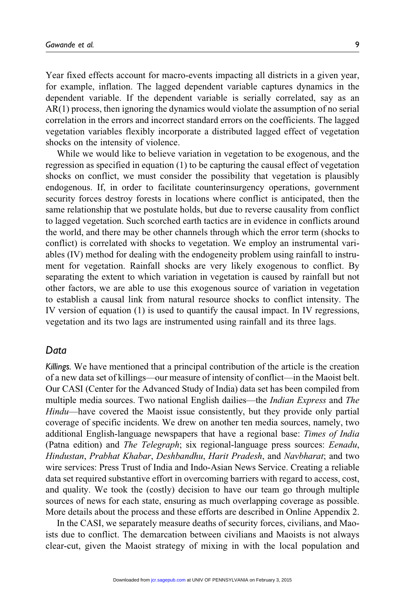Year fixed effects account for macro-events impacting all districts in a given year, for example, inflation. The lagged dependent variable captures dynamics in the dependent variable. If the dependent variable is serially correlated, say as an AR(1) process, then ignoring the dynamics would violate the assumption of no serial correlation in the errors and incorrect standard errors on the coefficients. The lagged vegetation variables flexibly incorporate a distributed lagged effect of vegetation shocks on the intensity of violence.

While we would like to believe variation in vegetation to be exogenous, and the regression as specified in equation (1) to be capturing the causal effect of vegetation shocks on conflict, we must consider the possibility that vegetation is plausibly endogenous. If, in order to facilitate counterinsurgency operations, government security forces destroy forests in locations where conflict is anticipated, then the same relationship that we postulate holds, but due to reverse causality from conflict to lagged vegetation. Such scorched earth tactics are in evidence in conflicts around the world, and there may be other channels through which the error term (shocks to conflict) is correlated with shocks to vegetation. We employ an instrumental variables (IV) method for dealing with the endogeneity problem using rainfall to instrument for vegetation. Rainfall shocks are very likely exogenous to conflict. By separating the extent to which variation in vegetation is caused by rainfall but not other factors, we are able to use this exogenous source of variation in vegetation to establish a causal link from natural resource shocks to conflict intensity. The IV version of equation (1) is used to quantify the causal impact. In IV regressions, vegetation and its two lags are instrumented using rainfall and its three lags.

#### Data

Killings. We have mentioned that a principal contribution of the article is the creation of a new data set of killings—our measure of intensity of conflict—in the Maoist belt. Our CASI (Center for the Advanced Study of India) data set has been compiled from multiple media sources. Two national English dailies—the Indian Express and The Hindu—have covered the Maoist issue consistently, but they provide only partial coverage of specific incidents. We drew on another ten media sources, namely, two additional English-language newspapers that have a regional base: Times of India (Patna edition) and The Telegraph; six regional-language press sources: Eenadu, Hindustan, Prabhat Khabar, Deshbandhu, Harit Pradesh, and Navbharat; and two wire services: Press Trust of India and Indo-Asian News Service. Creating a reliable data set required substantive effort in overcoming barriers with regard to access, cost, and quality. We took the (costly) decision to have our team go through multiple sources of news for each state, ensuring as much overlapping coverage as possible. More details about the process and these efforts are described in Online Appendix 2.

In the CASI, we separately measure deaths of security forces, civilians, and Maoists due to conflict. The demarcation between civilians and Maoists is not always clear-cut, given the Maoist strategy of mixing in with the local population and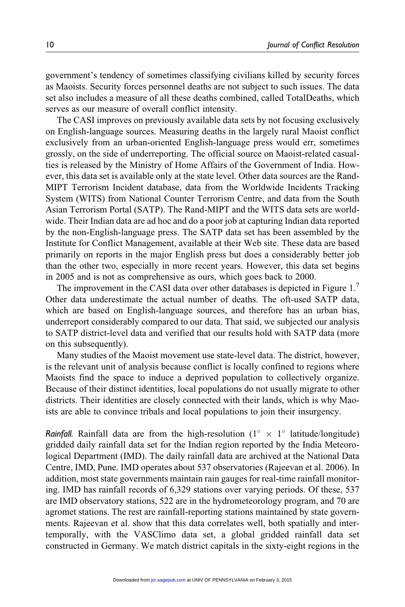government's tendency of sometimes classifying civilians killed by security forces as Maoists. Security forces personnel deaths are not subject to such issues. The data set also includes a measure of all these deaths combined, called TotalDeaths, which serves as our measure of overall conflict intensity.

The CASI improves on previously available data sets by not focusing exclusively on English-language sources. Measuring deaths in the largely rural Maoist conflict exclusively from an urban-oriented English-language press would err, sometimes grossly, on the side of underreporting. The official source on Maoist-related casualties is released by the Ministry of Home Affairs of the Government of India. However, this data set is available only at the state level. Other data sources are the Rand-MIPT Terrorism Incident database, data from the Worldwide Incidents Tracking System (WITS) from National Counter Terrorism Centre, and data from the South Asian Terrorism Portal (SATP). The Rand-MIPT and the WITS data sets are worldwide. Their Indian data are ad hoc and do a poor job at capturing Indian data reported by the non-English-language press. The SATP data set has been assembled by the Institute for Conflict Management, available at their Web site. These data are based primarily on reports in the major English press but does a considerably better job than the other two, especially in more recent years. However, this data set begins in 2005 and is not as comprehensive as ours, which goes back to 2000.

The improvement in the CASI data over other databases is depicted in Figure  $1<sup>7</sup>$ Other data underestimate the actual number of deaths. The oft-used SATP data, which are based on English-language sources, and therefore has an urban bias, underreport considerably compared to our data. That said, we subjected our analysis to SATP district-level data and verified that our results hold with SATP data (more on this subsequently).

Many studies of the Maoist movement use state-level data. The district, however, is the relevant unit of analysis because conflict is locally confined to regions where Maoists find the space to induce a deprived population to collectively organize. Because of their distinct identities, local populations do not usually migrate to other districts. Their identities are closely connected with their lands, which is why Maoists are able to convince tribals and local populations to join their insurgency.

Rainfall. Rainfall data are from the high-resolution  $(1^{\circ} \times 1^{\circ}$  latitude/longitude) gridded daily rainfall data set for the Indian region reported by the India Meteorological Department (IMD). The daily rainfall data are archived at the National Data Centre, IMD, Pune. IMD operates about 537 observatories (Rajeevan et al. 2006). In addition, most state governments maintain rain gauges for real-time rainfall monitoring. IMD has rainfall records of 6,329 stations over varying periods. Of these, 537 are IMD observatory stations, 522 are in the hydrometeorology program, and 70 are agromet stations. The rest are rainfall-reporting stations maintained by state governments. Rajeevan et al. show that this data correlates well, both spatially and intertemporally, with the VASClimo data set, a global gridded rainfall data set constructed in Germany. We match district capitals in the sixty-eight regions in the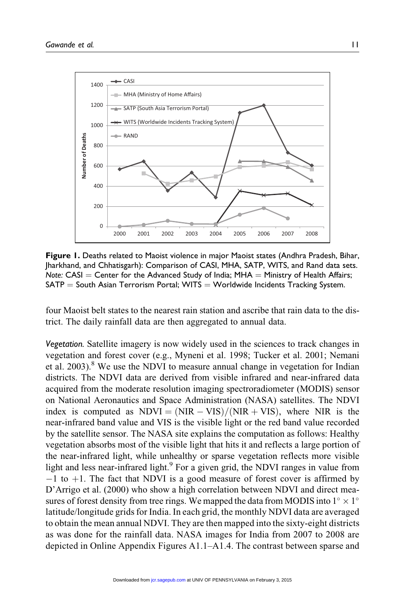

Figure 1. Deaths related to Maoist violence in major Maoist states (Andhra Pradesh, Bihar, Jharkhand, and Chhatisgarh): Comparison of CASI, MHA, SATP, WITS, and Rand data sets. Note:  $CASI = Center$  for the Advanced Study of India;  $MHA =$  Ministry of Health Affairs;  $SATP =$  South Asian Terrorism Portal; WITS = Worldwide Incidents Tracking System.

four Maoist belt states to the nearest rain station and ascribe that rain data to the district. The daily rainfall data are then aggregated to annual data.

Vegetation. Satellite imagery is now widely used in the sciences to track changes in vegetation and forest cover (e.g., Myneni et al. 1998; Tucker et al. 2001; Nemani et al.  $2003$ ).<sup>8</sup> We use the NDVI to measure annual change in vegetation for Indian districts. The NDVI data are derived from visible infrared and near-infrared data acquired from the moderate resolution imaging spectroradiometer (MODIS) sensor on National Aeronautics and Space Administration (NASA) satellites. The NDVI index is computed as  $NDVI = (NIR - VIS)/(NIR + VIS)$ , where NIR is the near-infrared band value and VIS is the visible light or the red band value recorded by the satellite sensor. The NASA site explains the computation as follows: Healthy vegetation absorbs most of the visible light that hits it and reflects a large portion of the near-infrared light, while unhealthy or sparse vegetation reflects more visible light and less near-infrared light. $<sup>9</sup>$  For a given grid, the NDVI ranges in value from</sup>  $-1$  to  $+1$ . The fact that NDVI is a good measure of forest cover is affirmed by D'Arrigo et al. (2000) who show a high correlation between NDVI and direct measures of forest density from tree rings. We mapped the data from MODIS into  $1^{\circ} \times 1^{\circ}$ latitude/longitude grids for India. In each grid, the monthly NDVI data are averaged to obtain the mean annual NDVI. They are then mapped into the sixty-eight districts as was done for the rainfall data. NASA images for India from 2007 to 2008 are depicted in Online Appendix Figures A1.1–A1.4. The contrast between sparse and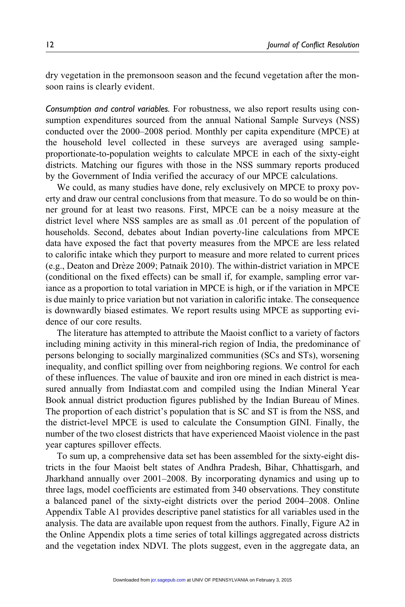dry vegetation in the premonsoon season and the fecund vegetation after the monsoon rains is clearly evident.

Consumption and control variables. For robustness, we also report results using consumption expenditures sourced from the annual National Sample Surveys (NSS) conducted over the 2000–2008 period. Monthly per capita expenditure (MPCE) at the household level collected in these surveys are averaged using sampleproportionate-to-population weights to calculate MPCE in each of the sixty-eight districts. Matching our figures with those in the NSS summary reports produced by the Government of India verified the accuracy of our MPCE calculations.

We could, as many studies have done, rely exclusively on MPCE to proxy poverty and draw our central conclusions from that measure. To do so would be on thinner ground for at least two reasons. First, MPCE can be a noisy measure at the district level where NSS samples are as small as .01 percent of the population of households. Second, debates about Indian poverty-line calculations from MPCE data have exposed the fact that poverty measures from the MPCE are less related to calorific intake which they purport to measure and more related to current prices (e.g., Deaton and Drèze 2009; Patnaik 2010). The within-district variation in MPCE (conditional on the fixed effects) can be small if, for example, sampling error variance as a proportion to total variation in MPCE is high, or if the variation in MPCE is due mainly to price variation but not variation in calorific intake. The consequence is downwardly biased estimates. We report results using MPCE as supporting evidence of our core results.

The literature has attempted to attribute the Maoist conflict to a variety of factors including mining activity in this mineral-rich region of India, the predominance of persons belonging to socially marginalized communities (SCs and STs), worsening inequality, and conflict spilling over from neighboring regions. We control for each of these influences. The value of bauxite and iron ore mined in each district is measured annually from Indiastat.com and compiled using the Indian Mineral Year Book annual district production figures published by the Indian Bureau of Mines. The proportion of each district's population that is SC and ST is from the NSS, and the district-level MPCE is used to calculate the Consumption GINI. Finally, the number of the two closest districts that have experienced Maoist violence in the past year captures spillover effects.

To sum up, a comprehensive data set has been assembled for the sixty-eight districts in the four Maoist belt states of Andhra Pradesh, Bihar, Chhattisgarh, and Jharkhand annually over 2001–2008. By incorporating dynamics and using up to three lags, model coefficients are estimated from 340 observations. They constitute a balanced panel of the sixty-eight districts over the period 2004–2008. Online Appendix Table A1 provides descriptive panel statistics for all variables used in the analysis. The data are available upon request from the authors. Finally, Figure A2 in the Online Appendix plots a time series of total killings aggregated across districts and the vegetation index NDVI. The plots suggest, even in the aggregate data, an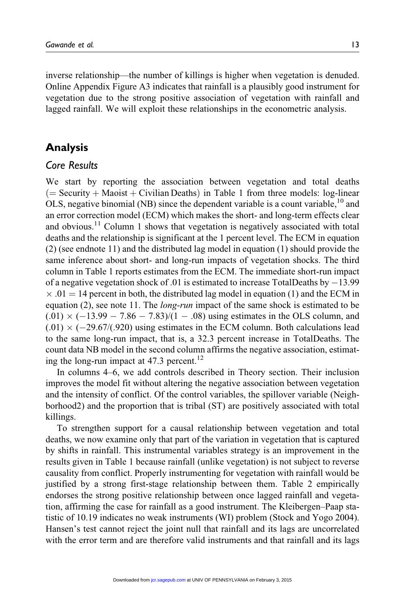inverse relationship—the number of killings is higher when vegetation is denuded. Online Appendix Figure A3 indicates that rainfall is a plausibly good instrument for vegetation due to the strong positive association of vegetation with rainfall and lagged rainfall. We will exploit these relationships in the econometric analysis.

# Analysis

## Core Results

We start by reporting the association between vegetation and total deaths  $($  = Security + Maoist + Civilian Deaths) in Table 1 from three models: log-linear OLS, negative binomial (NB) since the dependent variable is a count variable,  $^{10}$  and an error correction model (ECM) which makes the short- and long-term effects clear and obvious.<sup>11</sup> Column 1 shows that vegetation is negatively associated with total deaths and the relationship is significant at the 1 percent level. The ECM in equation (2) (see endnote 11) and the distributed lag model in equation (1) should provide the same inference about short- and long-run impacts of vegetation shocks. The third column in Table 1 reports estimates from the ECM. The immediate short-run impact of a negative vegetation shock of .01 is estimated to increase TotalDeaths by -13.99  $\times$  .01 = 14 percent in both, the distributed lag model in equation (1) and the ECM in equation (2), see note 11. The *long-run* impact of the same shock is estimated to be  $(.01) \times (-13.99 - 7.86 - 7.83)/(1 - .08)$  using estimates in the OLS column, and  $(.01) \times (-29.67/(.920)$  using estimates in the ECM column. Both calculations lead to the same long-run impact, that is, a 32.3 percent increase in TotalDeaths. The count data NB model in the second column affirms the negative association, estimating the long-run impact at  $47.3$  percent.<sup>12</sup>

In columns 4–6, we add controls described in Theory section. Their inclusion improves the model fit without altering the negative association between vegetation and the intensity of conflict. Of the control variables, the spillover variable (Neighborhood2) and the proportion that is tribal (ST) are positively associated with total killings.

To strengthen support for a causal relationship between vegetation and total deaths, we now examine only that part of the variation in vegetation that is captured by shifts in rainfall. This instrumental variables strategy is an improvement in the results given in Table 1 because rainfall (unlike vegetation) is not subject to reverse causality from conflict. Properly instrumenting for vegetation with rainfall would be justified by a strong first-stage relationship between them. Table 2 empirically endorses the strong positive relationship between once lagged rainfall and vegetation, affirming the case for rainfall as a good instrument. The Kleibergen–Paap statistic of 10.19 indicates no weak instruments (WI) problem (Stock and Yogo 2004). Hansen's test cannot reject the joint null that rainfall and its lags are uncorrelated with the error term and are therefore valid instruments and that rainfall and its lags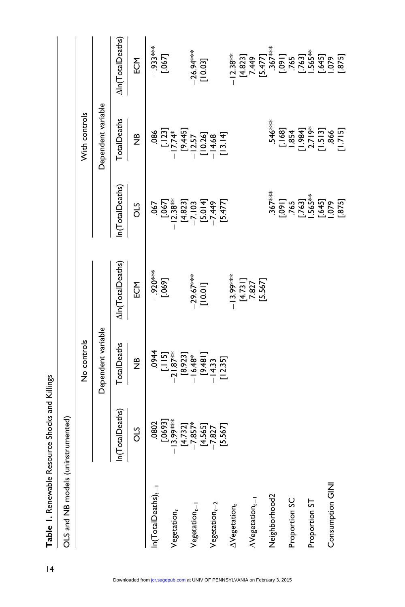Table 1. Renewable Resource Shocks and Killings<br>OLS and NB models (uninstrumented) Table 1. Renewable Resource Shocks and Killings

| in in ctivi im onto |
|---------------------|
|                     |
| models              |
|                     |
| ì                   |
|                     |

 $\overline{1}$ 

|                                    |                                                                                                                                                                                                                                                                                                                                                               | No controls                                                                                                                                                                                                                    |                                            |                                                                                                                                                                                                                                                                                                                                | With controls                                                                                                                                                                                                                                                                                                                   |                                                                                                                                                                                   |
|------------------------------------|---------------------------------------------------------------------------------------------------------------------------------------------------------------------------------------------------------------------------------------------------------------------------------------------------------------------------------------------------------------|--------------------------------------------------------------------------------------------------------------------------------------------------------------------------------------------------------------------------------|--------------------------------------------|--------------------------------------------------------------------------------------------------------------------------------------------------------------------------------------------------------------------------------------------------------------------------------------------------------------------------------|---------------------------------------------------------------------------------------------------------------------------------------------------------------------------------------------------------------------------------------------------------------------------------------------------------------------------------|-----------------------------------------------------------------------------------------------------------------------------------------------------------------------------------|
|                                    |                                                                                                                                                                                                                                                                                                                                                               | Dependent variable                                                                                                                                                                                                             |                                            |                                                                                                                                                                                                                                                                                                                                | Dependent variable                                                                                                                                                                                                                                                                                                              |                                                                                                                                                                                   |
|                                    | In(TotalDeaths)                                                                                                                                                                                                                                                                                                                                               | TotalDeaths                                                                                                                                                                                                                    | Aln(TotalDeaths)                           | n(TotalDeaths)                                                                                                                                                                                                                                                                                                                 | <b>TotalDeaths</b>                                                                                                                                                                                                                                                                                                              | $\Delta$ In(TotalDeaths)                                                                                                                                                          |
|                                    | STO                                                                                                                                                                                                                                                                                                                                                           | ₽                                                                                                                                                                                                                              | ECM                                        | STO                                                                                                                                                                                                                                                                                                                            | 留<br>乙                                                                                                                                                                                                                                                                                                                          | ECM                                                                                                                                                                               |
| $ln(TotalDeaths)_{t-1}$            | .0802                                                                                                                                                                                                                                                                                                                                                         |                                                                                                                                                                                                                                | $-920***$<br>[0.069]                       | 067                                                                                                                                                                                                                                                                                                                            | 086                                                                                                                                                                                                                                                                                                                             | $-933***$                                                                                                                                                                         |
| Vegetation,                        | $[0.693] \atop [1.393***]{{\small 13.99***} \atop [-1.32]{{\small 15.99***} \atop [-1.32]{{\small 15.99***} \atop [-1.32]{{\small 15.99***} \atop [-1.32]{{\small 15.99***} \atop [-1.32]{{\small 15.99***} \atop [-1.32]{{\small 15.99***} \atop [-1.32]{{\small 15.99***} \atop [-1.32]{{\small 15.99***} \atop [-1.32]{{\small 15.99***} \atop [-1.32]{{\$ |                                                                                                                                                                                                                                |                                            |                                                                                                                                                                                                                                                                                                                                |                                                                                                                                                                                                                                                                                                                                 |                                                                                                                                                                                   |
| $V$ egetation $_{t-1}$             |                                                                                                                                                                                                                                                                                                                                                               |                                                                                                                                                                                                                                | $-29.67***$                                |                                                                                                                                                                                                                                                                                                                                |                                                                                                                                                                                                                                                                                                                                 | $^{-26.94***}_{[10.03]}$                                                                                                                                                          |
| $V$ egetation $_{t-2}$             |                                                                                                                                                                                                                                                                                                                                                               | $[15, 2]$ $-21, 8, 23$ $-21, 8, 23$ $-21, 8, 23$ $-21, 8, 23$ $-21, 8, 23$ $-21, 8, 23$ $-21, 8, 23$ $-21, 8, 23$ $-21, 8, 23$ $-21, 8, 23$ $-21, 8, 23$ $-21, 8, 23$ $-21, 8, 23$ $-21, 8, 23$ $-21, 8, 23$ $-21, 8, 23$ $-2$ | [10.01]                                    | $\begin{array}{r} 1.0671 \\ -12.38\% \\ -12.38\% \\ -1.033 \\ -1.033 \\ -1.034 \\ -1.049 \\ -1.049 \\ -1.049 \\ -1.047 \\ -1.047 \\ -1.047 \\ -1.047 \\ -1.047 \\ -1.047 \\ -1.047 \\ -1.047 \\ -1.047 \\ -1.047 \\ -1.047 \\ -1.047 \\ -1.047 \\ -1.047 \\ -1.047 \\ -1.047 \\ -1.047 \\ -1.047 \\ -1.047 \\ -1.047 \\ -1.04$ | $\begin{array}{r} 1.1231 \\ -17.744 \\ 19.445 \\ -12.57 \\ -12.57 \\ -10.26 \\ -14.68 \\ -14.68 \\ -14.69 \\ -14.69 \\ -14.69 \\ -14.69 \\ -14.69 \\ -14.74 \\ -14.74 \\ -14.74 \\ -14.74 \\ -14.74 \\ -14.74 \\ -14.74 \\ -14.74 \\ -14.74 \\ -14.74 \\ -14.74 \\ -14.74 \\ -14.74 \\ -14.74 \\ -14.74 \\ -14.74 \\ -14.74 \\$ |                                                                                                                                                                                   |
| $\Delta$ Vegetation,               | [5.567]                                                                                                                                                                                                                                                                                                                                                       |                                                                                                                                                                                                                                |                                            |                                                                                                                                                                                                                                                                                                                                |                                                                                                                                                                                                                                                                                                                                 |                                                                                                                                                                                   |
| $\Delta$ Vegetation <sub>t-1</sub> |                                                                                                                                                                                                                                                                                                                                                               |                                                                                                                                                                                                                                | – 13.99***<br>[4.73 l]<br>7.827<br>[5.567] |                                                                                                                                                                                                                                                                                                                                |                                                                                                                                                                                                                                                                                                                                 |                                                                                                                                                                                   |
| Neighborhood <sub>2</sub>          |                                                                                                                                                                                                                                                                                                                                                               |                                                                                                                                                                                                                                |                                            |                                                                                                                                                                                                                                                                                                                                |                                                                                                                                                                                                                                                                                                                                 |                                                                                                                                                                                   |
| Proportion SC                      |                                                                                                                                                                                                                                                                                                                                                               |                                                                                                                                                                                                                                |                                            |                                                                                                                                                                                                                                                                                                                                |                                                                                                                                                                                                                                                                                                                                 |                                                                                                                                                                                   |
| Proportion ST                      |                                                                                                                                                                                                                                                                                                                                                               |                                                                                                                                                                                                                                |                                            |                                                                                                                                                                                                                                                                                                                                | *******<br>U-1681<br>U-1884 T-1515<br>U-1515 T-1515<br>U-715 U-1715<br>U-715 U-1715                                                                                                                                                                                                                                             | 1<br>1823 - 1925 - 1935 - 1937<br>1937 - 1937 - 1938 - 1938<br>1947 - 1948 - 1949 - 1949<br>1948 - 1949 - 1949 - 1949 - 1949 - 1949 - 1949 - 1949 - 1949 - 1949 - 1949 - 1949 - 1 |
| Consumption GINI                   |                                                                                                                                                                                                                                                                                                                                                               |                                                                                                                                                                                                                                |                                            |                                                                                                                                                                                                                                                                                                                                |                                                                                                                                                                                                                                                                                                                                 |                                                                                                                                                                                   |
|                                    |                                                                                                                                                                                                                                                                                                                                                               |                                                                                                                                                                                                                                |                                            |                                                                                                                                                                                                                                                                                                                                |                                                                                                                                                                                                                                                                                                                                 |                                                                                                                                                                                   |

14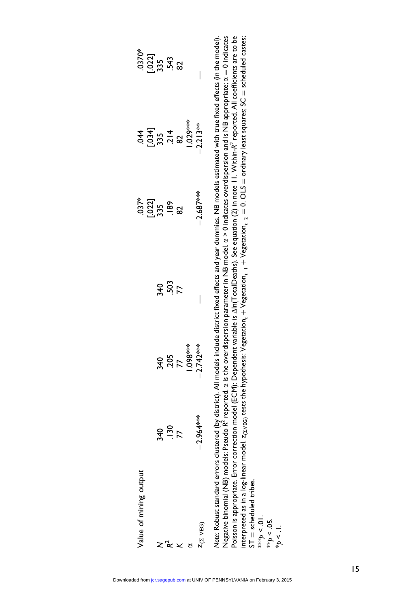| Value of mining output       |                 |                |     |                                                                                                                                                 |                                                                                  |                          |
|------------------------------|-----------------|----------------|-----|-------------------------------------------------------------------------------------------------------------------------------------------------|----------------------------------------------------------------------------------|--------------------------|
|                              |                 |                |     | 037*<br>[022]<br>335                                                                                                                            | $3334$<br>$-1034$<br>$-14$<br>$-14$<br>$-14$<br>$-14$<br>$-14$<br>$-14$<br>$-14$ | .0370*<br>[.022]<br>335  |
|                              | $\frac{340}{5}$ | 340            | 340 |                                                                                                                                                 |                                                                                  |                          |
|                              | .130            | .205           | 503 | $\frac{89}{2}$                                                                                                                                  |                                                                                  | 382                      |
|                              |                 | $\overline{z}$ | 77  | 82                                                                                                                                              |                                                                                  |                          |
|                              |                 | $1.098***$     |     |                                                                                                                                                 | <b>1.029***</b>                                                                  |                          |
| $Z(\Sigma$ VEG)              | $-2.964***$     | $-2.742***$    | I   | $-2.687***$                                                                                                                                     | $-2.213**$                                                                       | $\overline{\phantom{a}}$ |
| Note: Robust standard errors |                 |                |     | clustered (by district). All models include district fixed effects and year dummies. NB models estimated with true fixed effects (in the model) |                                                                                  |                          |

| Vote: Robust standard errors clustered (by district). All models include district fixed effects and year dummies. NB models estimated with true fixed effects (in the model).                                                |
|------------------------------------------------------------------------------------------------------------------------------------------------------------------------------------------------------------------------------|
| legative binomial (NB) models: Pseudo R' reported. $\alpha$ is the overdispersion parameter in NB model. $\alpha > 0$ indicates overdispersion and is NB appropriate; $\alpha = 0$ indicates                                 |
| oisson is appropriate. Error correction model (ECM): Dependent variable is Aln(TotalDeaths). See equation (2) in note 11. Within-R* reported. All coefficients are to be                                                     |
| nodel. $z_{\text{CVEO}}$ tests the hypothesis: Vegetation <sub>t</sub> + Vegetation <sub>t-1</sub> + Vegetation <sub>t-2</sub> = 0. OLS = ordinary least squares; SC = scheduled castes;<br>nterpreted as in a log-linear mo |
| $ST =$ scheduled tribes.                                                                                                                                                                                                     |
|                                                                                                                                                                                                                              |

\*\*\*p < .01.<br>\*\*p < .05.<br>\*p < .1.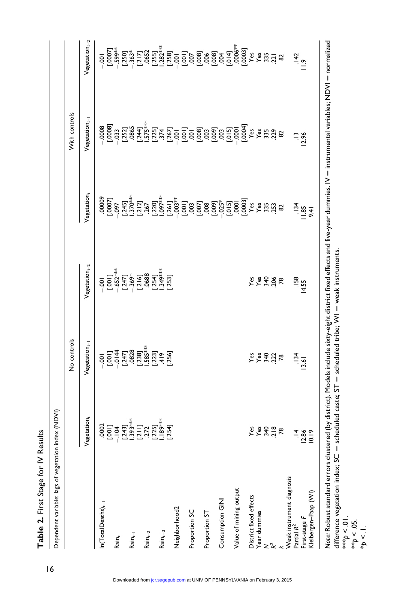Table 2. First Stage for IV Results Table 2. First Stage for IV Results

| Í<br>.<br>י |
|-------------|
| ļ           |
| i<br>i      |
| ١           |
| i           |
|             |
| i           |
| I           |

|                                                     |                          | No controls                 |                                                                                                                                                                                                                                                                                                                                                   |                   | With controls         |                                                                                                                                   |
|-----------------------------------------------------|--------------------------|-----------------------------|---------------------------------------------------------------------------------------------------------------------------------------------------------------------------------------------------------------------------------------------------------------------------------------------------------------------------------------------------|-------------------|-----------------------|-----------------------------------------------------------------------------------------------------------------------------------|
|                                                     | Vegetation               | $V$ egetation $_{t-1}$      | $V$ egetation $_{t-2}$                                                                                                                                                                                                                                                                                                                            | Vegetation        | $V$ egetation $_{t-}$ | $V$ egetation $_{t-2}$                                                                                                            |
| $In (TotalDeaths)_{t-1}$                            |                          |                             |                                                                                                                                                                                                                                                                                                                                                   |                   |                       |                                                                                                                                   |
| Rain <sub>t</sub>                                   |                          |                             |                                                                                                                                                                                                                                                                                                                                                   |                   |                       |                                                                                                                                   |
| $Rain_{t-1}$                                        |                          |                             |                                                                                                                                                                                                                                                                                                                                                   |                   |                       |                                                                                                                                   |
| $Rain_{t-2}$                                        |                          |                             | $\begin{array}{r} -00 \\ -0.47 \\ -0.47 \\ -0.47 \\ -0.47 \\ -0.47 \\ -0.47 \\ -0.47 \\ -0.47 \\ -0.47 \\ -0.47 \\ -0.47 \\ -0.47 \\ -0.47 \\ -0.47 \\ -0.47 \\ -0.47 \\ -0.47 \\ -0.47 \\ -0.47 \\ -0.47 \\ -0.47 \\ -0.47 \\ -0.47 \\ -0.47 \\ -0.47 \\ -0.47 \\ -0.47 \\ -0.47 \\ -0.47 \\ -0.47 \\ -0.47 \\ -0.47 \\ -0.47 \\ -0.47 \\ -0.47$ |                   |                       | <u>g S * S * E 3 m * * 8 = E 8 8 8 8 8 5 6 8 8 9 % * * * * 5 8 9</u><br>8 6 % 8 % E 3 % 8 % 8 6 6 8 8 8 8 6 6 8 6 8 % * * * * 5 8 |
| $Rain_{t-3}$                                        |                          |                             |                                                                                                                                                                                                                                                                                                                                                   |                   |                       |                                                                                                                                   |
| Neighborhood2                                       |                          |                             |                                                                                                                                                                                                                                                                                                                                                   |                   |                       |                                                                                                                                   |
| Proportion SC                                       |                          |                             |                                                                                                                                                                                                                                                                                                                                                   |                   |                       |                                                                                                                                   |
| Proportion ST                                       |                          |                             |                                                                                                                                                                                                                                                                                                                                                   |                   |                       |                                                                                                                                   |
| Consumption GINI                                    |                          |                             |                                                                                                                                                                                                                                                                                                                                                   |                   |                       |                                                                                                                                   |
| Value of mining output                              |                          |                             |                                                                                                                                                                                                                                                                                                                                                   |                   |                       |                                                                                                                                   |
|                                                     |                          |                             |                                                                                                                                                                                                                                                                                                                                                   |                   |                       |                                                                                                                                   |
| District fixed effects                              | <b>ARRAN</b>             | <b>vega</b><br>2012<br>2013 | ******                                                                                                                                                                                                                                                                                                                                            |                   |                       |                                                                                                                                   |
| Year dummies                                        |                          |                             |                                                                                                                                                                                                                                                                                                                                                   |                   |                       |                                                                                                                                   |
|                                                     |                          |                             |                                                                                                                                                                                                                                                                                                                                                   |                   |                       |                                                                                                                                   |
|                                                     |                          |                             |                                                                                                                                                                                                                                                                                                                                                   |                   |                       |                                                                                                                                   |
| Weak instrument diagnosis<br>Partial R <sup>2</sup> |                          |                             |                                                                                                                                                                                                                                                                                                                                                   |                   |                       |                                                                                                                                   |
| First-stage F                                       |                          | 13.61                       | 158<br>14.55                                                                                                                                                                                                                                                                                                                                      |                   | $\frac{13}{2.96}$     | $\frac{6}{11}$<br>$\frac{11}{2}$                                                                                                  |
| Kleibergen-Paap (VVI)                               | $480$<br>$-280$<br>$-10$ |                             |                                                                                                                                                                                                                                                                                                                                                   | $\frac{134}{185}$ |                       |                                                                                                                                   |
|                                                     |                          |                             |                                                                                                                                                                                                                                                                                                                                                   |                   |                       |                                                                                                                                   |

Note: Robust standard errors clustered (by district). Models include sixty-eight district fixed effects and five-year dummies. IV instrumental variables; NDVI normalized difference vegetation index; SC scheduled caste; ST scheduled tribe; WI weak instruments. \*\*\*p < .01.<br>\*\*p < .05.<br>\*p < .1.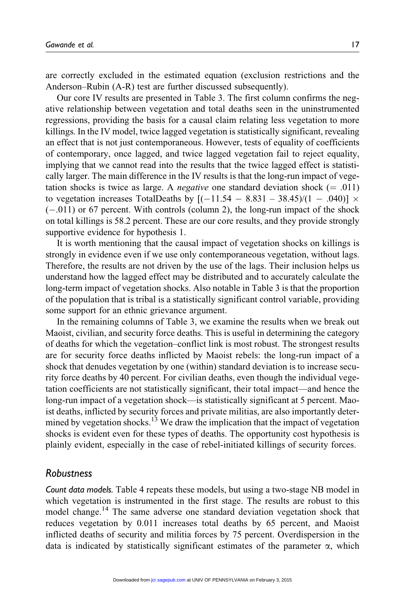are correctly excluded in the estimated equation (exclusion restrictions and the Anderson–Rubin (A-R) test are further discussed subsequently).

Our core IV results are presented in Table 3. The first column confirms the negative relationship between vegetation and total deaths seen in the uninstrumented regressions, providing the basis for a causal claim relating less vegetation to more killings. In the IV model, twice lagged vegetation is statistically significant, revealing an effect that is not just contemporaneous. However, tests of equality of coefficients of contemporary, once lagged, and twice lagged vegetation fail to reject equality, implying that we cannot read into the results that the twice lagged effect is statistically larger. The main difference in the IV results is that the long-run impact of vegetation shocks is twice as large. A *negative* one standard deviation shock  $(= .011)$ to vegetation increases TotalDeaths by  $[(-11.54 - 8.831 - 38.45)/(1 - .040)] \times$ (-.011) or 67 percent. With controls (column 2), the long-run impact of the shock on total killings is 58.2 percent. These are our core results, and they provide strongly supportive evidence for hypothesis 1.

It is worth mentioning that the causal impact of vegetation shocks on killings is strongly in evidence even if we use only contemporaneous vegetation, without lags. Therefore, the results are not driven by the use of the lags. Their inclusion helps us understand how the lagged effect may be distributed and to accurately calculate the long-term impact of vegetation shocks. Also notable in Table 3 is that the proportion of the population that is tribal is a statistically significant control variable, providing some support for an ethnic grievance argument.

In the remaining columns of Table 3, we examine the results when we break out Maoist, civilian, and security force deaths. This is useful in determining the category of deaths for which the vegetation–conflict link is most robust. The strongest results are for security force deaths inflicted by Maoist rebels: the long-run impact of a shock that denudes vegetation by one (within) standard deviation is to increase security force deaths by 40 percent. For civilian deaths, even though the individual vegetation coefficients are not statistically significant, their total impact—and hence the long-run impact of a vegetation shock—is statistically significant at 5 percent. Maoist deaths, inflicted by security forces and private militias, are also importantly determined by vegetation shocks.<sup>13</sup> We draw the implication that the impact of vegetation shocks is evident even for these types of deaths. The opportunity cost hypothesis is plainly evident, especially in the case of rebel-initiated killings of security forces.

#### Robustness

Count data models. Table 4 repeats these models, but using a two-stage NB model in which vegetation is instrumented in the first stage. The results are robust to this model change.<sup>14</sup> The same adverse one standard deviation vegetation shock that reduces vegetation by 0.011 increases total deaths by 65 percent, and Maoist inflicted deaths of security and militia forces by 75 percent. Overdispersion in the data is indicated by statistically significant estimates of the parameter  $\alpha$ , which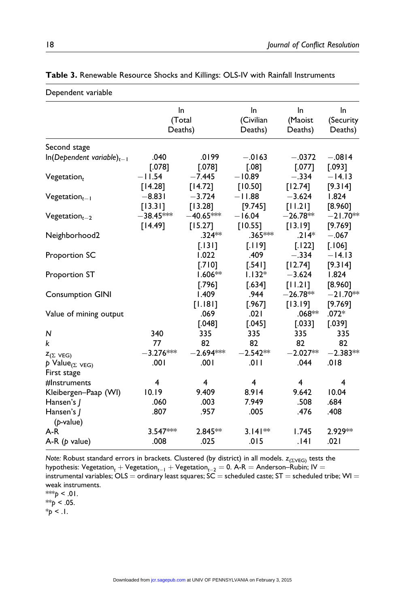| Dependent variable                             |             |             |            |            |            |
|------------------------------------------------|-------------|-------------|------------|------------|------------|
|                                                | In          |             | In         | In         | In         |
|                                                |             | (Total      | (Civilian  | (Maoist    | (Security  |
|                                                |             | Deaths)     | Deaths)    | Deaths)    | Deaths)    |
| Second stage                                   |             |             |            |            |            |
| $In (Dependent variable)_{t-1}$                | .040        | .0199       | $-.0163$   | $-.0372$   | $-.0814$   |
|                                                | [.078]      | [.078]      | [.08]      | [.077]     | [.093]     |
| $Vegetation_t$                                 | $-11.54$    | $-7.445$    | $-10.89$   | $-.334$    | $-14.13$   |
|                                                | [14.28]     | [14.72]     | [10.50]    | [12.74]    | [9.314]    |
| $Vegetation_{t-1}$                             | $-8.831$    | $-3.724$    | $-11.88$   | $-3.624$   | 1.824      |
|                                                | [13.31]     | [13.28]     | [9.745]    | [11.21]    | [8.960]    |
| $Vegetation_{t-2}$                             | $-38.45***$ | $-40.65***$ | $-16.04$   | $-26.78**$ | $-21.70**$ |
|                                                | [14.49]     | [15.27]     | [10.55]    | [13.19]    | [9.769]    |
| Neighborhood2                                  |             | $.324***$   | $.365***$  | $.214*$    | $-.067$    |
|                                                |             | $[.131]$    | [.119]     | $[.122]$   | $[.106]$   |
| Proportion SC                                  |             | 1.022       | .409       | $-.334$    | $-14.13$   |
|                                                |             | $[.710]$    | $[.541]$   | [12.74]    | [9.314]    |
| Proportion ST                                  |             | $1.606**$   | $1.132*$   | $-3.624$   | 1.824      |
|                                                |             | [.796]      | [.634]     | [11.21]    | [8.960]    |
| <b>Consumption GINI</b>                        |             | 1.409       | .944       | $-26.78**$ | $-21.70**$ |
|                                                |             | [1.181]     | [.967]     | [13.19]    | [9.769]    |
| Value of mining output                         |             | .069        | .021       | $.068**$   | $.072*$    |
|                                                |             | [.048]      | [.045]     | [.033]     | [.039]     |
| N                                              | 340         | 335         | 335        | 335        | 335        |
| k                                              | 77          | 82          | 82         | 82         | 82         |
| $Z(\Sigma$ VEG)                                | $-3.276***$ | $-2.694***$ | $-2.542**$ | $-2.027**$ | $-2.383**$ |
| $p$ Value <sub>(<math>\Sigma</math> VEG)</sub> | .001        | .001        | .011       | .044       | .018       |
| First stage                                    |             |             |            |            |            |
| #Instruments                                   | 4           | 4           | 4          | 4          | 4          |
| Kleibergen-Paap (WI)                           | 10.19       | 9.409       | 8.914      | 9.642      | 10.04      |
| Hansen's /                                     | .060        | .003        | 7.949      | .508       | .684       |
| Hansen's J<br>(p-value)                        | .807        | .957        | .005       | .476       | .408       |
| A-R                                            | 3.547***    | $2.845**$   | $3.141**$  | 1.745      | $2.929**$  |
| A-R $(p$ value)                                | .008        | .025        | .015       | .141       | .021       |

Table 3. Renewable Resource Shocks and Killings: OLS-IV with Rainfall Instruments

Note: Robust standard errors in brackets. Clustered (by district) in all models.  $z_{(\Sigma VEG)}$  tests the hypothesis: Vegetation $_{_{\rm t}}+$  Vegetation $_{_{\rm t-1}}+$  Vegetation $_{_{\rm t-2}}=$  0. A-R  $=$  Anderson–Rubin; IV  $=$ instrumental variables;  $OLS =$  ordinary least squares;  $SC =$  scheduled caste;  $ST =$  scheduled tribe; WI = weak instruments.

\*\*\*p < .01. \*\*p < .05.

 $*_{p}$  < . I.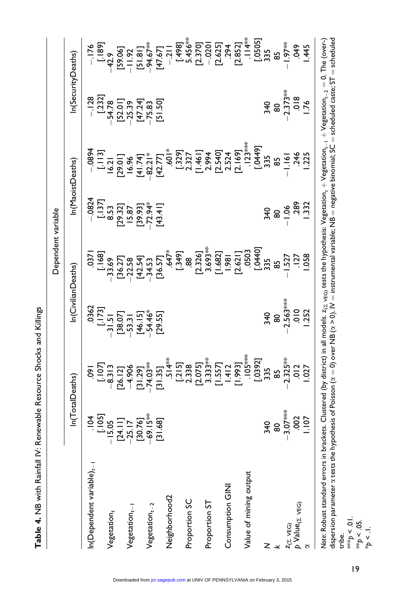Table 4. NB with Rainfall IV: Renewable Resource Shocks and Killings Table 4. NB with Rainfall IV: Renewable Resource Shocks and Killings

|                                                                                                                                                                                       |                                                                                                                                                       |                 |                                                                                                                                                                 | Dependent variable                                                                                                                                                                                                                                                                                                                |                                                                                                                                                                                                                                                                                                                                                  |                   |                                                                                                                                                                                                                                                                                                                           |                                                                                                                                                                                                                                                                                                                                                  |
|---------------------------------------------------------------------------------------------------------------------------------------------------------------------------------------|-------------------------------------------------------------------------------------------------------------------------------------------------------|-----------------|-----------------------------------------------------------------------------------------------------------------------------------------------------------------|-----------------------------------------------------------------------------------------------------------------------------------------------------------------------------------------------------------------------------------------------------------------------------------------------------------------------------------|--------------------------------------------------------------------------------------------------------------------------------------------------------------------------------------------------------------------------------------------------------------------------------------------------------------------------------------------------|-------------------|---------------------------------------------------------------------------------------------------------------------------------------------------------------------------------------------------------------------------------------------------------------------------------------------------------------------------|--------------------------------------------------------------------------------------------------------------------------------------------------------------------------------------------------------------------------------------------------------------------------------------------------------------------------------------------------|
|                                                                                                                                                                                       |                                                                                                                                                       | In(TotalDeaths) | In(CivilianDeaths)                                                                                                                                              |                                                                                                                                                                                                                                                                                                                                   |                                                                                                                                                                                                                                                                                                                                                  | In(MaoistDeaths)  | In(SecurityDeaths)                                                                                                                                                                                                                                                                                                        |                                                                                                                                                                                                                                                                                                                                                  |
| $\ln(\mathsf{Dependent}\,\mathsf{variable})_{t-1}$                                                                                                                                    | $rac{1}{2}$                                                                                                                                           |                 |                                                                                                                                                                 | 133.69<br>[168]<br>[168]                                                                                                                                                                                                                                                                                                          |                                                                                                                                                                                                                                                                                                                                                  |                   |                                                                                                                                                                                                                                                                                                                           |                                                                                                                                                                                                                                                                                                                                                  |
| Vegetation <sub>t</sub>                                                                                                                                                               | $\begin{array}{r} [.105] \\ -15.05 \\ -15.05 \\ \underline{[24.1]} \\ 12.17 \\ \underline{[30.76]} \\ 0.90 \\ \underline{[30.9]} \\ 0.03 \end{array}$ |                 | $\begin{array}{r} .0362 \\ .1731 \\ -31.51 \\ .38.071 \\ -45.131 \\ .46.151 \\ +6.151 \\ .53.31 \\ +6.151 \\ .54.46^* \\ .551 \\ .551 \\ .59.59 \\ \end{array}$ |                                                                                                                                                                                                                                                                                                                                   | $\begin{array}{r} -.0824 \\ -0.137 \\ -0.137 \\ -0.53 \\ -0.53 \\ -0.53 \\ -0.53 \\ -0.53 \\ -0.53 \\ -0.53 \\ -0.53 \\ -0.53 \\ -0.53 \\ -0.53 \\ -0.53 \\ -0.53 \\ -0.53 \\ -0.53 \\ -0.53 \\ -0.53 \\ -0.53 \\ -0.53 \\ -0.53 \\ -0.53 \\ -0.53 \\ -0.53 \\ -0.53 \\ -0.53 \\ -0.53 \\ -0.53 \\ -0.53 \\ -0.53 \\ -0.53 \\ -0.53 \\ -0.53 \\$ |                   | $\begin{array}{r} -128 \\ -1237 \\ -54.78 \\ -54.79 \\ -123.39 \\ -125.39 \\ -125.39 \\ -125.39 \\ -125.39 \\ -125.39 \\ -125.39 \\ -125.39 \\ -125.39 \\ -125.39 \\ -125.39 \\ -125.39 \\ -125.39 \\ -125.39 \\ -125.39 \\ -125.39 \\ -125.39 \\ -125.39 \\ -125.39 \\ -125.39 \\ -125.39 \\ -125.39 \\ -125.39 \\ -125$ | $\begin{array}{l} 1.58 \\ -1.59 \\ -1.59 \\ -1.59 \\ -1.59 \\ -1.59 \\ -1.59 \\ -1.59 \\ -1.59 \\ -1.59 \\ -1.59 \\ -1.59 \\ -1.59 \\ -1.59 \\ -1.59 \\ -1.59 \\ -1.59 \\ -1.59 \\ -1.59 \\ -1.59 \\ -1.59 \\ -1.59 \\ -1.59 \\ -1.59 \\ -1.59 \\ -1.59 \\ -1.59 \\ -1.59 \\ -1.59 \\ -1.59 \\ -1.59 \\ -1.59 \\ -1.59 \\ -1.59 \\ -1.59 \\ -1.$ |
|                                                                                                                                                                                       |                                                                                                                                                       |                 |                                                                                                                                                                 |                                                                                                                                                                                                                                                                                                                                   |                                                                                                                                                                                                                                                                                                                                                  |                   |                                                                                                                                                                                                                                                                                                                           |                                                                                                                                                                                                                                                                                                                                                  |
| $V$ egetation $_{t-1}$                                                                                                                                                                |                                                                                                                                                       |                 |                                                                                                                                                                 |                                                                                                                                                                                                                                                                                                                                   |                                                                                                                                                                                                                                                                                                                                                  |                   |                                                                                                                                                                                                                                                                                                                           |                                                                                                                                                                                                                                                                                                                                                  |
| $Vegetation_{t-2}$                                                                                                                                                                    |                                                                                                                                                       |                 |                                                                                                                                                                 | $\begin{array}{l} 18.77 \\ -1.473 \\ -1.473 \\ -1.473 \\ -1.473 \\ -1.473 \\ -1.473 \\ -1.473 \\ -1.473 \\ -1.473 \\ -1.473 \\ -1.473 \\ -1.473 \\ -1.473 \\ -1.473 \\ -1.473 \\ -1.473 \\ -1.473 \\ -1.473 \\ -1.473 \\ -1.473 \\ -1.473 \\ -1.473 \\ -1.473 \\ -1.473 \\ -1.473 \\ -1.473 \\ -1.473 \\ -1.473 \\ -1.473 \\ -1.$ |                                                                                                                                                                                                                                                                                                                                                  |                   |                                                                                                                                                                                                                                                                                                                           |                                                                                                                                                                                                                                                                                                                                                  |
|                                                                                                                                                                                       |                                                                                                                                                       |                 |                                                                                                                                                                 |                                                                                                                                                                                                                                                                                                                                   |                                                                                                                                                                                                                                                                                                                                                  |                   |                                                                                                                                                                                                                                                                                                                           |                                                                                                                                                                                                                                                                                                                                                  |
| Neighborhood2                                                                                                                                                                         |                                                                                                                                                       |                 |                                                                                                                                                                 |                                                                                                                                                                                                                                                                                                                                   |                                                                                                                                                                                                                                                                                                                                                  |                   |                                                                                                                                                                                                                                                                                                                           |                                                                                                                                                                                                                                                                                                                                                  |
|                                                                                                                                                                                       |                                                                                                                                                       |                 |                                                                                                                                                                 |                                                                                                                                                                                                                                                                                                                                   |                                                                                                                                                                                                                                                                                                                                                  |                   |                                                                                                                                                                                                                                                                                                                           |                                                                                                                                                                                                                                                                                                                                                  |
| Proportion SC                                                                                                                                                                         |                                                                                                                                                       |                 |                                                                                                                                                                 |                                                                                                                                                                                                                                                                                                                                   |                                                                                                                                                                                                                                                                                                                                                  |                   |                                                                                                                                                                                                                                                                                                                           |                                                                                                                                                                                                                                                                                                                                                  |
|                                                                                                                                                                                       |                                                                                                                                                       |                 |                                                                                                                                                                 |                                                                                                                                                                                                                                                                                                                                   |                                                                                                                                                                                                                                                                                                                                                  |                   |                                                                                                                                                                                                                                                                                                                           |                                                                                                                                                                                                                                                                                                                                                  |
| Proportion ST                                                                                                                                                                         |                                                                                                                                                       |                 |                                                                                                                                                                 |                                                                                                                                                                                                                                                                                                                                   |                                                                                                                                                                                                                                                                                                                                                  |                   |                                                                                                                                                                                                                                                                                                                           |                                                                                                                                                                                                                                                                                                                                                  |
|                                                                                                                                                                                       |                                                                                                                                                       |                 |                                                                                                                                                                 |                                                                                                                                                                                                                                                                                                                                   |                                                                                                                                                                                                                                                                                                                                                  |                   |                                                                                                                                                                                                                                                                                                                           |                                                                                                                                                                                                                                                                                                                                                  |
| Consumption GIN                                                                                                                                                                       |                                                                                                                                                       |                 |                                                                                                                                                                 |                                                                                                                                                                                                                                                                                                                                   |                                                                                                                                                                                                                                                                                                                                                  |                   |                                                                                                                                                                                                                                                                                                                           |                                                                                                                                                                                                                                                                                                                                                  |
|                                                                                                                                                                                       |                                                                                                                                                       |                 |                                                                                                                                                                 |                                                                                                                                                                                                                                                                                                                                   |                                                                                                                                                                                                                                                                                                                                                  |                   |                                                                                                                                                                                                                                                                                                                           |                                                                                                                                                                                                                                                                                                                                                  |
| Value of mining output                                                                                                                                                                |                                                                                                                                                       |                 |                                                                                                                                                                 |                                                                                                                                                                                                                                                                                                                                   |                                                                                                                                                                                                                                                                                                                                                  |                   |                                                                                                                                                                                                                                                                                                                           |                                                                                                                                                                                                                                                                                                                                                  |
|                                                                                                                                                                                       |                                                                                                                                                       |                 |                                                                                                                                                                 |                                                                                                                                                                                                                                                                                                                                   |                                                                                                                                                                                                                                                                                                                                                  |                   |                                                                                                                                                                                                                                                                                                                           |                                                                                                                                                                                                                                                                                                                                                  |
| z                                                                                                                                                                                     | ទី ខ                                                                                                                                                  |                 |                                                                                                                                                                 |                                                                                                                                                                                                                                                                                                                                   | ទី ខ                                                                                                                                                                                                                                                                                                                                             |                   |                                                                                                                                                                                                                                                                                                                           |                                                                                                                                                                                                                                                                                                                                                  |
|                                                                                                                                                                                       |                                                                                                                                                       |                 |                                                                                                                                                                 |                                                                                                                                                                                                                                                                                                                                   |                                                                                                                                                                                                                                                                                                                                                  |                   |                                                                                                                                                                                                                                                                                                                           |                                                                                                                                                                                                                                                                                                                                                  |
|                                                                                                                                                                                       | $3.07***$                                                                                                                                             |                 | $340$<br>80<br>80<br>0.152<br>0.152<br>1.252                                                                                                                    | $1.527$<br>$1.27$<br>$1.058$                                                                                                                                                                                                                                                                                                      | $-1.06$                                                                                                                                                                                                                                                                                                                                          |                   | <b>340</b><br>80 7137 <sup>3</sup><br>90 713 8<br>940 8                                                                                                                                                                                                                                                                   | $ \frac{1}{2}$                                                                                                                                                                                                                                                                                                                                   |
| z <sub>(Σ VEG)</sub><br>p Value <sub>(Σ VEG)</sub>                                                                                                                                    | 002                                                                                                                                                   |                 |                                                                                                                                                                 |                                                                                                                                                                                                                                                                                                                                   | 289                                                                                                                                                                                                                                                                                                                                              | <b>246</b><br>225 |                                                                                                                                                                                                                                                                                                                           | $rac{4}{3}$                                                                                                                                                                                                                                                                                                                                      |
|                                                                                                                                                                                       | <u>101</u>                                                                                                                                            |                 |                                                                                                                                                                 |                                                                                                                                                                                                                                                                                                                                   | .332                                                                                                                                                                                                                                                                                                                                             |                   |                                                                                                                                                                                                                                                                                                                           |                                                                                                                                                                                                                                                                                                                                                  |
| Note: Robust standard errors in brackets. Clustered (by district) in all models. $z_{\rm I2}$ veg, tests the hypothesis: Vegetation, + Vegetation, -1 Vegetation, -2 = 0. The (over-) |                                                                                                                                                       |                 |                                                                                                                                                                 |                                                                                                                                                                                                                                                                                                                                   |                                                                                                                                                                                                                                                                                                                                                  |                   |                                                                                                                                                                                                                                                                                                                           |                                                                                                                                                                                                                                                                                                                                                  |

dispersion parameter  $\alpha$  tests the hypothesis of Poisson ( $\alpha = 0$ ) over NB ( $\alpha > 0$ ). IV instrumental variable; NB tribe.

negative binomial; SC

scheduled caste; ST

scheduled

\*\*\*p < .01.<br>\*\*p < .05.<br>\*p < .1.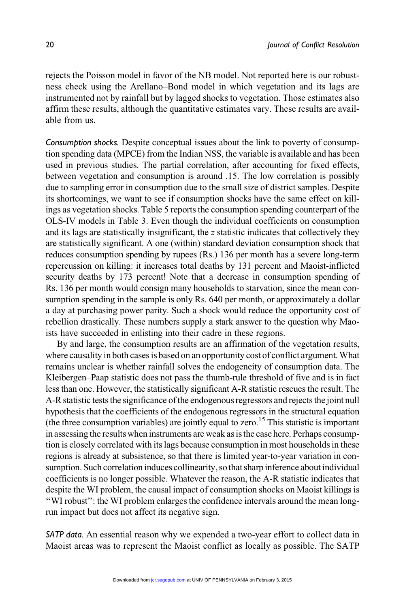rejects the Poisson model in favor of the NB model. Not reported here is our robustness check using the Arellano–Bond model in which vegetation and its lags are instrumented not by rainfall but by lagged shocks to vegetation. Those estimates also affirm these results, although the quantitative estimates vary. These results are available from us.

Consumption shocks. Despite conceptual issues about the link to poverty of consumption spending data (MPCE) from the Indian NSS, the variable is available and has been used in previous studies. The partial correlation, after accounting for fixed effects, between vegetation and consumption is around .15. The low correlation is possibly due to sampling error in consumption due to the small size of district samples. Despite its shortcomings, we want to see if consumption shocks have the same effect on killings as vegetation shocks. Table 5 reports the consumption spending counterpart of the OLS-IV models in Table 3. Even though the individual coefficients on consumption and its lags are statistically insignificant, the z statistic indicates that collectively they are statistically significant. A one (within) standard deviation consumption shock that reduces consumption spending by rupees (Rs.) 136 per month has a severe long-term repercussion on killing: it increases total deaths by 131 percent and Maoist-inflicted security deaths by 173 percent! Note that a decrease in consumption spending of Rs. 136 per month would consign many households to starvation, since the mean consumption spending in the sample is only Rs. 640 per month, or approximately a dollar a day at purchasing power parity. Such a shock would reduce the opportunity cost of rebellion drastically. These numbers supply a stark answer to the question why Maoists have succeeded in enlisting into their cadre in these regions.

By and large, the consumption results are an affirmation of the vegetation results, where causality in both cases is based on an opportunity cost of conflict argument.What remains unclear is whether rainfall solves the endogeneity of consumption data. The Kleibergen–Paap statistic does not pass the thumb-rule threshold of five and is in fact less than one. However, the statistically significant A-R statistic rescues the result. The A-R statistic tests the significance ofthe endogenous regressors and rejects the joint null hypothesis that the coefficients of the endogenous regressors in the structural equation (the three consumption variables) are jointly equal to zero.<sup>15</sup> This statistic is important in assessing the results when instruments are weak as is the case here. Perhaps consumption is closely correlated with its lags because consumption in most households in these regions is already at subsistence, so that there is limited year-to-year variation in consumption. Such correlation induces collinearity, so that sharp inference about individual coefficients is no longer possible. Whatever the reason, the A-R statistic indicates that despite the WI problem, the causal impact of consumption shocks on Maoist killings is ''WI robust'': the WI problem enlarges the confidence intervals around the mean longrun impact but does not affect its negative sign.

SATP data. An essential reason why we expended a two-year effort to collect data in Maoist areas was to represent the Maoist conflict as locally as possible. The SATP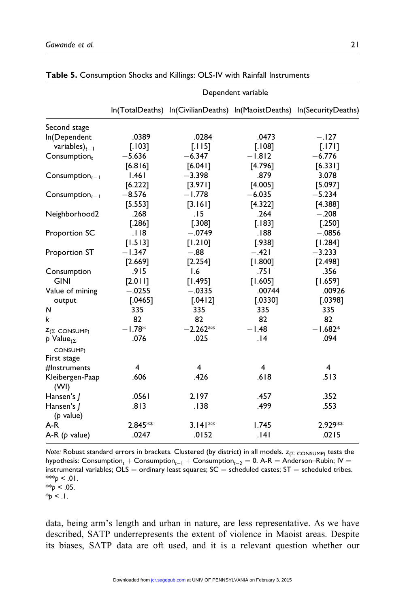|                                               |                |            | Dependent variable |                                                                        |
|-----------------------------------------------|----------------|------------|--------------------|------------------------------------------------------------------------|
|                                               |                |            |                    | In(TotalDeaths) In(CivilianDeaths) In(MaoistDeaths) In(SecurityDeaths) |
| Second stage                                  |                |            |                    |                                                                        |
| In(Dependent                                  | .0389          | .0284      | .0473              | $-.127$                                                                |
| variables) $_{t-1}$                           | $[.103]$       | [.115]     | $[.108]$           | $[.171]$                                                               |
| Consumption,                                  | $-5.636$       | $-6.347$   | $-1.812$           | $-6.776$                                                               |
|                                               | [6.816]        | [6.04]     | [4.796]            | [6.33]                                                                 |
| $Consumption_{t-1}$                           | 1.461          | $-3.398$   | .879               | 3.078                                                                  |
|                                               | [6.222]        | [3.97]     | [4.005]            | [5.097]                                                                |
| $Consumption_{t-1}$                           | $-8.576$       | $-1.778$   | $-6.035$           | $-5.234$                                                               |
|                                               | [5.553]        | [3.161]    | [4.322]            | [4.388]                                                                |
| Neighborhood2                                 | .268           | .15        | .264               | $-.208$                                                                |
|                                               | [.286]         | [.308]     | [.183]             | [.250]                                                                 |
| Proportion SC                                 | .118           | $-.0749$   | .188               | $-.0856$                                                               |
|                                               | [1.513]        | [1.210]    | [.938]             | $[1.284]$                                                              |
| Proportion ST                                 | $-1.347$       | $-.88$     | $-.421$            | $-3.233$                                                               |
|                                               | [2.669]        | [2.254]    | [1.800]            | [2.498]                                                                |
| Consumption                                   | .915           | 1.6        | .751               | .356                                                                   |
| <b>GINI</b>                                   | [2.011]        | [1.495]    | [1.605]            | [1.659]                                                                |
| Value of mining                               | $-.0255$       | $-.0335$   | .00744             | .00926                                                                 |
| output                                        | [.0465]        | [.0412]    | [.0330]            | [.0398]                                                                |
| N                                             | 335            | 335        | 335                | 335                                                                    |
| k                                             | 82             | 82         | 82                 | 82                                                                     |
| $Z(\Sigma \text{ CONSUMP})$                   | $-1.78*$       | $-2.262**$ | $-1.48$            | $-1.682*$                                                              |
| $\beta$ Value <sub>(<math>\Sigma</math></sub> | .076           | .025       | 14.                | .094                                                                   |
| CONSUMP)                                      |                |            |                    |                                                                        |
| First stage                                   |                |            |                    |                                                                        |
| #Instruments                                  | $\overline{4}$ | 4          | 4                  | 4                                                                      |
| Kleibergen-Paap<br>(WI)                       | .606           | .426       | .618               | .513                                                                   |
| Hansen's /                                    | .0561          | 2.197      | .457               | .352                                                                   |
| Hansen's /<br>$(p$ value)                     | .813           | .138       | .499               | .553                                                                   |
| A-R                                           | $2.845**$      | $3.141**$  | 1.745              | 2.929**                                                                |
| A-R $(p \text{ value})$                       | .0247          | .0152      | .141               | .0215                                                                  |

Table 5. Consumption Shocks and Killings: OLS-IV with Rainfall Instruments

Note: Robust standard errors in brackets. Clustered (by district) in all models.  $z_{(\Sigma \text{ CONSUMP})}$  tests the hypothesis: Consumption $_{\rm t}$   $+$  Consumption $_{\rm t-1}$   $+$  Consumption $_{\rm t-2}$   $=$  0. A-R  $=$  Anderson–Rubin; IV  $=$ instrumental variables;  $OLS =$  ordinary least squares;  $SC =$  scheduled castes;  $ST =$  scheduled tribes. \*\*\*p < .01.  $*$ *∗* $p$  < .05.

 $*_{p}$  < . I.

data, being arm's length and urban in nature, are less representative. As we have described, SATP underrepresents the extent of violence in Maoist areas. Despite its biases, SATP data are oft used, and it is a relevant question whether our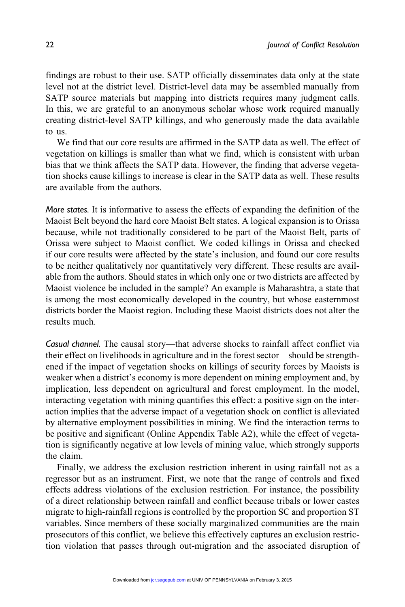findings are robust to their use. SATP officially disseminates data only at the state level not at the district level. District-level data may be assembled manually from SATP source materials but mapping into districts requires many judgment calls. In this, we are grateful to an anonymous scholar whose work required manually creating district-level SATP killings, and who generously made the data available to us.

We find that our core results are affirmed in the SATP data as well. The effect of vegetation on killings is smaller than what we find, which is consistent with urban bias that we think affects the SATP data. However, the finding that adverse vegetation shocks cause killings to increase is clear in the SATP data as well. These results are available from the authors.

More states. It is informative to assess the effects of expanding the definition of the Maoist Belt beyond the hard core Maoist Belt states. A logical expansion is to Orissa because, while not traditionally considered to be part of the Maoist Belt, parts of Orissa were subject to Maoist conflict. We coded killings in Orissa and checked if our core results were affected by the state's inclusion, and found our core results to be neither qualitatively nor quantitatively very different. These results are available from the authors. Should states in which only one or two districts are affected by Maoist violence be included in the sample? An example is Maharashtra, a state that is among the most economically developed in the country, but whose easternmost districts border the Maoist region. Including these Maoist districts does not alter the results much.

Casual channel. The causal story—that adverse shocks to rainfall affect conflict via their effect on livelihoods in agriculture and in the forest sector—should be strengthened if the impact of vegetation shocks on killings of security forces by Maoists is weaker when a district's economy is more dependent on mining employment and, by implication, less dependent on agricultural and forest employment. In the model, interacting vegetation with mining quantifies this effect: a positive sign on the interaction implies that the adverse impact of a vegetation shock on conflict is alleviated by alternative employment possibilities in mining. We find the interaction terms to be positive and significant (Online Appendix Table A2), while the effect of vegetation is significantly negative at low levels of mining value, which strongly supports the claim.

Finally, we address the exclusion restriction inherent in using rainfall not as a regressor but as an instrument. First, we note that the range of controls and fixed effects address violations of the exclusion restriction. For instance, the possibility of a direct relationship between rainfall and conflict because tribals or lower castes migrate to high-rainfall regions is controlled by the proportion SC and proportion ST variables. Since members of these socially marginalized communities are the main prosecutors of this conflict, we believe this effectively captures an exclusion restriction violation that passes through out-migration and the associated disruption of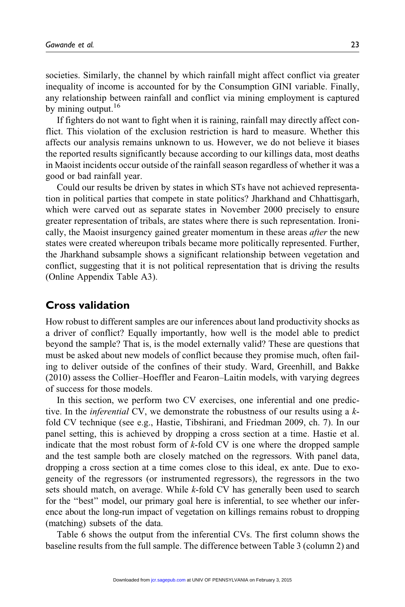societies. Similarly, the channel by which rainfall might affect conflict via greater inequality of income is accounted for by the Consumption GINI variable. Finally, any relationship between rainfall and conflict via mining employment is captured by mining output. $16$ 

If fighters do not want to fight when it is raining, rainfall may directly affect conflict. This violation of the exclusion restriction is hard to measure. Whether this affects our analysis remains unknown to us. However, we do not believe it biases the reported results significantly because according to our killings data, most deaths in Maoist incidents occur outside of the rainfall season regardless of whether it was a good or bad rainfall year.

Could our results be driven by states in which STs have not achieved representation in political parties that compete in state politics? Jharkhand and Chhattisgarh, which were carved out as separate states in November 2000 precisely to ensure greater representation of tribals, are states where there is such representation. Ironically, the Maoist insurgency gained greater momentum in these areas *after* the new states were created whereupon tribals became more politically represented. Further, the Jharkhand subsample shows a significant relationship between vegetation and conflict, suggesting that it is not political representation that is driving the results (Online Appendix Table A3).

### Cross validation

How robust to different samples are our inferences about land productivity shocks as a driver of conflict? Equally importantly, how well is the model able to predict beyond the sample? That is, is the model externally valid? These are questions that must be asked about new models of conflict because they promise much, often failing to deliver outside of the confines of their study. Ward, Greenhill, and Bakke (2010) assess the Collier–Hoeffler and Fearon–Laitin models, with varying degrees of success for those models.

In this section, we perform two CV exercises, one inferential and one predictive. In the inferential CV, we demonstrate the robustness of our results using a kfold CV technique (see e.g., Hastie, Tibshirani, and Friedman 2009, ch. 7). In our panel setting, this is achieved by dropping a cross section at a time. Hastie et al. indicate that the most robust form of  $k$ -fold CV is one where the dropped sample and the test sample both are closely matched on the regressors. With panel data, dropping a cross section at a time comes close to this ideal, ex ante. Due to exogeneity of the regressors (or instrumented regressors), the regressors in the two sets should match, on average. While k-fold CV has generally been used to search for the ''best'' model, our primary goal here is inferential, to see whether our inference about the long-run impact of vegetation on killings remains robust to dropping (matching) subsets of the data.

Table 6 shows the output from the inferential CVs. The first column shows the baseline results from the full sample. The difference between Table 3 (column 2) and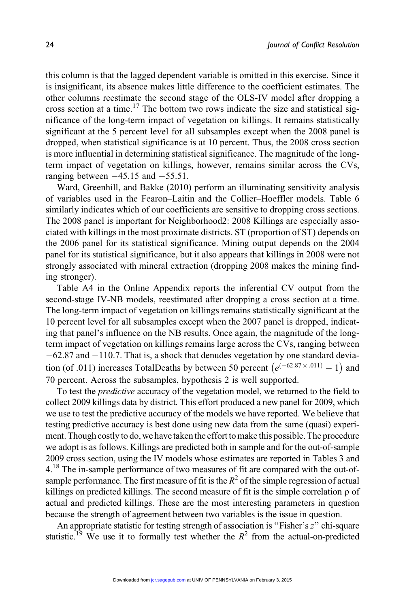this column is that the lagged dependent variable is omitted in this exercise. Since it is insignificant, its absence makes little difference to the coefficient estimates. The other columns reestimate the second stage of the OLS-IV model after dropping a cross section at a time.<sup>17</sup> The bottom two rows indicate the size and statistical significance of the long-term impact of vegetation on killings. It remains statistically significant at the 5 percent level for all subsamples except when the 2008 panel is dropped, when statistical significance is at 10 percent. Thus, the 2008 cross section is more influential in determining statistical significance. The magnitude of the longterm impact of vegetation on killings, however, remains similar across the CVs, ranging between  $-45.15$  and  $-55.51$ .

Ward, Greenhill, and Bakke (2010) perform an illuminating sensitivity analysis of variables used in the Fearon–Laitin and the Collier–Hoeffler models. Table 6 similarly indicates which of our coefficients are sensitive to dropping cross sections. The 2008 panel is important for Neighborhood2: 2008 Killings are especially associated with killings in the most proximate districts. ST (proportion of ST) depends on the 2006 panel for its statistical significance. Mining output depends on the 2004 panel for its statistical significance, but it also appears that killings in 2008 were not strongly associated with mineral extraction (dropping 2008 makes the mining finding stronger).

Table A4 in the Online Appendix reports the inferential CV output from the second-stage IV-NB models, reestimated after dropping a cross section at a time. The long-term impact of vegetation on killings remains statistically significant at the 10 percent level for all subsamples except when the 2007 panel is dropped, indicating that panel's influence on the NB results. Once again, the magnitude of the longterm impact of vegetation on killings remains large across the CVs, ranging between  $-62.87$  and  $-110.7$ . That is, a shock that denudes vegetation by one standard deviation (of .011) increases TotalDeaths by between 50 percent  $(e^{(-62.87 \times .011)} - 1)$  and 70 percent. Across the subsamples, hypothesis 2 is well supported.

To test the *predictive* accuracy of the vegetation model, we returned to the field to collect 2009 killings data by district. This effort produced a new panel for 2009, which we use to test the predictive accuracy of the models we have reported. We believe that testing predictive accuracy is best done using new data from the same (quasi) experiment. Though costly to do, we have taken the effort to make this possible. The procedure we adopt is as follows. Killings are predicted both in sample and for the out-of-sample 2009 cross section, using the IV models whose estimates are reported in Tables 3 and 4<sup>18</sup> The in-sample performance of two measures of fit are compared with the out-ofsample performance. The first measure of fit is the  $R^2$  of the simple regression of actual killings on predicted killings. The second measure of fit is the simple correlation  $\rho$  of actual and predicted killings. These are the most interesting parameters in question because the strength of agreement between two variables is the issue in question.

An appropriate statistic for testing strength of association is "Fisher's z" chi-square statistic.<sup>19</sup> We use it to formally test whether the  $R^2$  from the actual-on-predicted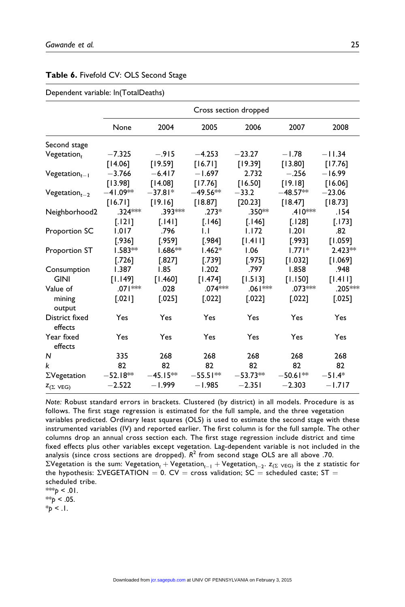#### Table 6. Fivefold CV: OLS Second Stage

| Dependent variable: In(TotalDeaths) |  |
|-------------------------------------|--|
|-------------------------------------|--|

|                          |            |            |            | Cross section dropped |            |           |
|--------------------------|------------|------------|------------|-----------------------|------------|-----------|
|                          | None       | 2004       | 2005       | 2006                  | 2007       | 2008      |
| Second stage             |            |            |            |                       |            |           |
| Vegetation <sub>t</sub>  | $-7.325$   | $-.915$    | $-4.253$   | $-23.27$              | $-1.78$    | $-11.34$  |
|                          | [14.06]    | [19.59]    | [16.71]    | [19.39]               | [13.80]    | [17.76]   |
| $Vegetation_{t-1}$       | $-3.766$   | $-6.417$   | $-1.697$   | 2.732                 | $-.256$    | $-16.99$  |
|                          | [13.98]    | [14.08]    | [17.76]    | [16.50]               | [19.18]    | [16.06]   |
| $Vegetation_{t-2}$       | $-41.09**$ | $-37.81*$  | $-49.56**$ | $-33.2$               | $-48.57**$ | $-23.06$  |
|                          | [16.71]    | [19.16]    | [18.87]    | [20.23]               | [18.47]    | [18.73]   |
| Neighborhood2            | $.324***$  | .393 ***   | $.273*$    | $.350**$              | $.410***$  | .154      |
|                          | $[.121]$   | [.141]     | [.146]     | [.146]                | $[.128]$   | $[.173]$  |
| Proportion SC            | 1.017      | .796       | IJ         | 1.172                 | 1.201      | .82       |
|                          | [.936]     | [.959]     | [.984]     | [1.411]               | [.993]     | [1.059]   |
| <b>Proportion ST</b>     | $1.583**$  | $1.686**$  | $1.462*$   | 1.06                  | $1.771*$   | $2.423**$ |
|                          | [.726]     | [.827]     | [.739]     | [.975]                | [1.032]    | [1.069]   |
| Consumption              | 1.387      | 1.85       | 1.202      | .797                  | 1.858      | .948      |
| <b>GINI</b>              | [1.149]    | [1.460]    | [1.474]    | [1.513]               | [1.150]    | [1.411]   |
| Value of                 | $.071***$  | .028       | $.074***$  | $.061***$             | .073 ***   | .205***   |
| mining                   | [.021]     | [.025]     | [.022]     | [.022]                | [.022]     | [.025]    |
| output<br>District fixed | Yes        | Yes        | Yes        | Yes                   | Yes        | Yes       |
| effects                  |            |            |            |                       |            |           |
| Year fixed<br>effects    | Yes        | Yes        | Yes        | Yes                   | Yes        | Yes       |
| N                        | 335        | 268        | 268        | 268                   | 268        | 268       |
| k                        | 82         | 82         | 82         | 82                    | 82         | 82        |
| $\Sigma$ Vegetation      | $-52.18**$ | $-45.15**$ | $-55.51**$ | $-53.73**$            | $-50.61**$ | $-51.4*$  |
| $Z(\Sigma$ VEG)          | $-2.522$   | $-1.999$   | $-1.985$   | $-2.351$              | $-2.303$   | $-1.717$  |

Note: Robust standard errors in brackets. Clustered (by district) in all models. Procedure is as follows. The first stage regression is estimated for the full sample, and the three vegetation variables predicted. Ordinary least squares (OLS) is used to estimate the second stage with these instrumented variables (IV) and reported earlier. The first column is for the full sample. The other columns drop an annual cross section each. The first stage regression include district and time fixed effects plus other variables except vegetation. Lag-dependent variable is not included in the analysis (since cross sections are dropped).  $R^2$  from second stage OLS are all above .70.  $\Sigma$ Vegetation is the sum: Vegetation $_{t}$  + Vegetation $_{t-1}$  + Vegetation $_{t-2}.$  z $_{(\Sigma\;\vee$ EG) is the z statistic for the hypothesis:  $\Sigma$ VEGETATION = 0. CV = cross validation; SC = scheduled caste; ST = scheduled tribe.

\*\*\*p < .01.  $*$ *r*<sup>∗</sup> $>$  .05.

 $*_{p}$  < . I.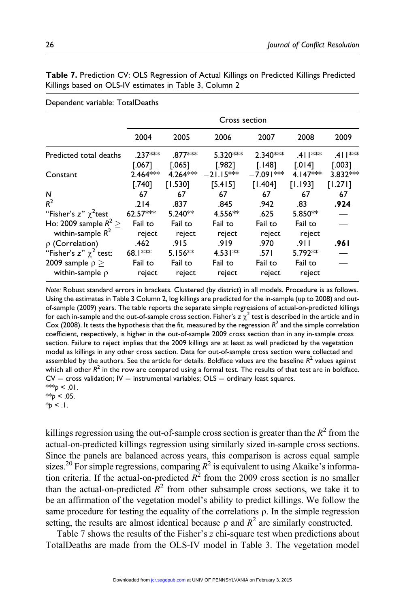|                             |                    |                      | Cross section         |                       |                    |                    |
|-----------------------------|--------------------|----------------------|-----------------------|-----------------------|--------------------|--------------------|
|                             | 2004               | 2005                 | 2006                  | 2007                  | 2008               | 2009               |
| Predicted total deaths      | $.237***$          | .877***              | 5.320***              | 2.340***              | $.411***$          | .4∐ ***            |
| Constant                    | [.067]<br>2.464*** | [.065]<br>$4.264***$ | [.982]<br>$-21.15***$ | [.148]<br>$-7.091***$ | [.014]<br>4.147*** | [.003]<br>3.832*** |
|                             | [.740]             | [1.530]              | [5.415]               | [1.404]               | [1.193]            | [1.271]            |
| N                           | 67                 | 67                   | 67                    | 67                    | 67                 | 67                 |
| $R^2$                       | .214               | .837                 | .845                  | .942                  | .83                | .924               |
| "Fisher's z" $\chi^2$ test  | 62.57***           | $5.240**$            | 4.556**               | .625                  | 5.850**            |                    |
| Ho: 2009 sample $R^2 \geq$  | Fail to            | Fail to              | Fail to               | Fail to               | Fail to            |                    |
| within-sample $R^2$         | reject             | reject               | reject                | reject                | reject             |                    |
| $\rho$ (Correlation)        | .462               | .915                 | .919                  | .970                  | .911               | .961               |
| "Fisher's z" $\chi^2$ test: | 68.1***            | $5.156**$            | $4.531**$             | .571                  | 5.792**            |                    |
| 2009 sample $\rho \geq$     | Fail to            | Fail to              | Fail to               | Fail to               | Fail to            |                    |
| within-sample $\rho$        | reject             | reject               | reject                | reject                | reject             |                    |

Table 7. Prediction CV: OLS Regression of Actual Killings on Predicted Killings Predicted Killings based on OLS-IV estimates in Table 3, Column 2

Note: Robust standard errors in brackets. Clustered (by district) in all models. Procedure is as follows. Using the estimates in Table 3 Column 2, log killings are predicted for the in-sample (up to 2008) and outof-sample (2009) years. The table reports the separate simple regressions of actual-on-predicted killings for each in-sample and the out-of-sample cross section. Fisher's  $z \chi^2$  test is described in the article and in Cox (2008). It tests the hypothesis that the fit, measured by the regression  $R^2$  and the simple correlation coefficient, respectively, is higher in the out-of-sample 2009 cross section than in any in-sample cross section. Failure to reject implies that the 2009 killings are at least as well predicted by the vegetation model as killings in any other cross section. Data for out-of-sample cross section were collected and assembled by the authors. See the article for details. Boldface values are the baseline  $R^2$  values against which all other  $R<sup>2</sup>$  in the row are compared using a formal test. The results of that test are in boldface.  $CV = cross validation; IV = instrumental variables; OLS = ordinary least squares.$  $***<sub>b</sub> < .01$ .  $*_{p}$  < .05.

 $p < 1$ .

killings regression using the out-of-sample cross section is greater than the  $R^2$  from the actual-on-predicted killings regression using similarly sized in-sample cross sections. Since the panels are balanced across years, this comparison is across equal sample sizes.<sup>20</sup> For simple regressions, comparing  $R^2$  is equivalent to using Akaike's information criteria. If the actual-on-predicted  $R^2$  from the 2009 cross section is no smaller than the actual-on-predicted  $R^2$  from other subsample cross sections, we take it to be an affirmation of the vegetation model's ability to predict killings. We follow the same procedure for testing the equality of the correlations  $\rho$ . In the simple regression setting, the results are almost identical because  $\rho$  and  $R^2$  are similarly constructed.

Table 7 shows the results of the Fisher's z chi-square test when predictions about TotalDeaths are made from the OLS-IV model in Table 3. The vegetation model

Dependent variable: TotalDeaths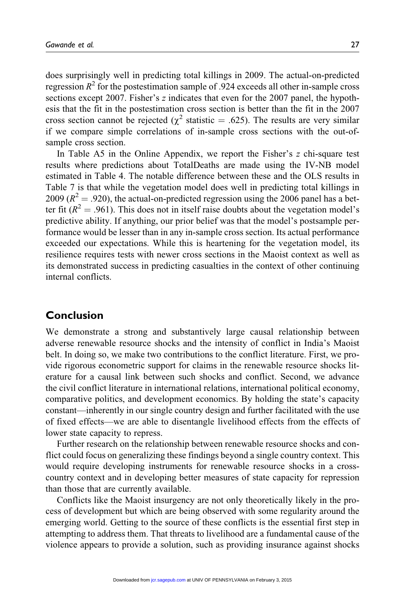does surprisingly well in predicting total killings in 2009. The actual-on-predicted regression  $R^2$  for the postestimation sample of .924 exceeds all other in-sample cross sections except 2007. Fisher's z indicates that even for the 2007 panel, the hypothesis that the fit in the postestimation cross section is better than the fit in the 2007 cross section cannot be rejected ( $\chi^2$  statistic = .625). The results are very similar if we compare simple correlations of in-sample cross sections with the out-ofsample cross section.

In Table A5 in the Online Appendix, we report the Fisher's z chi-square test results where predictions about TotalDeaths are made using the IV-NB model estimated in Table 4. The notable difference between these and the OLS results in Table 7 is that while the vegetation model does well in predicting total killings in 2009 ( $R^2 = .920$ ), the actual-on-predicted regression using the 2006 panel has a better fit ( $R^2$  = .961). This does not in itself raise doubts about the vegetation model's predictive ability. If anything, our prior belief was that the model's postsample performance would be lesser than in any in-sample cross section. Its actual performance exceeded our expectations. While this is heartening for the vegetation model, its resilience requires tests with newer cross sections in the Maoist context as well as its demonstrated success in predicting casualties in the context of other continuing internal conflicts.

# Conclusion

We demonstrate a strong and substantively large causal relationship between adverse renewable resource shocks and the intensity of conflict in India's Maoist belt. In doing so, we make two contributions to the conflict literature. First, we provide rigorous econometric support for claims in the renewable resource shocks literature for a causal link between such shocks and conflict. Second, we advance the civil conflict literature in international relations, international political economy, comparative politics, and development economics. By holding the state's capacity constant—inherently in our single country design and further facilitated with the use of fixed effects—we are able to disentangle livelihood effects from the effects of lower state capacity to repress.

Further research on the relationship between renewable resource shocks and conflict could focus on generalizing these findings beyond a single country context. This would require developing instruments for renewable resource shocks in a crosscountry context and in developing better measures of state capacity for repression than those that are currently available.

Conflicts like the Maoist insurgency are not only theoretically likely in the process of development but which are being observed with some regularity around the emerging world. Getting to the source of these conflicts is the essential first step in attempting to address them. That threats to livelihood are a fundamental cause of the violence appears to provide a solution, such as providing insurance against shocks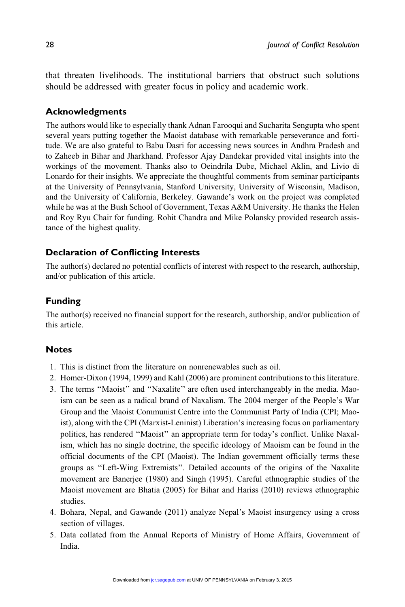that threaten livelihoods. The institutional barriers that obstruct such solutions should be addressed with greater focus in policy and academic work.

#### Acknowledgments

The authors would like to especially thank Adnan Farooqui and Sucharita Sengupta who spent several years putting together the Maoist database with remarkable perseverance and fortitude. We are also grateful to Babu Dasri for accessing news sources in Andhra Pradesh and to Zaheeb in Bihar and Jharkhand. Professor Ajay Dandekar provided vital insights into the workings of the movement. Thanks also to Oeindrila Dube, Michael Aklin, and Livio di Lonardo for their insights. We appreciate the thoughtful comments from seminar participants at the University of Pennsylvania, Stanford University, University of Wisconsin, Madison, and the University of California, Berkeley. Gawande's work on the project was completed while he was at the Bush School of Government, Texas A&M University. He thanks the Helen and Roy Ryu Chair for funding. Rohit Chandra and Mike Polansky provided research assistance of the highest quality.

#### Declaration of Conflicting Interests

The author(s) declared no potential conflicts of interest with respect to the research, authorship, and/or publication of this article.

#### Funding

The author(s) received no financial support for the research, authorship, and/or publication of this article.

#### **Notes**

- 1. This is distinct from the literature on nonrenewables such as oil.
- 2. Homer-Dixon (1994, 1999) and Kahl (2006) are prominent contributions to this literature.
- 3. The terms ''Maoist'' and ''Naxalite'' are often used interchangeably in the media. Maoism can be seen as a radical brand of Naxalism. The 2004 merger of the People's War Group and the Maoist Communist Centre into the Communist Party of India (CPI; Maoist), along with the CPI (Marxist-Leninist) Liberation's increasing focus on parliamentary politics, has rendered ''Maoist'' an appropriate term for today's conflict. Unlike Naxalism, which has no single doctrine, the specific ideology of Maoism can be found in the official documents of the CPI (Maoist). The Indian government officially terms these groups as ''Left-Wing Extremists''. Detailed accounts of the origins of the Naxalite movement are Banerjee (1980) and Singh (1995). Careful ethnographic studies of the Maoist movement are Bhatia (2005) for Bihar and Hariss (2010) reviews ethnographic studies.
- 4. Bohara, Nepal, and Gawande (2011) analyze Nepal's Maoist insurgency using a cross section of villages.
- 5. Data collated from the Annual Reports of Ministry of Home Affairs, Government of India.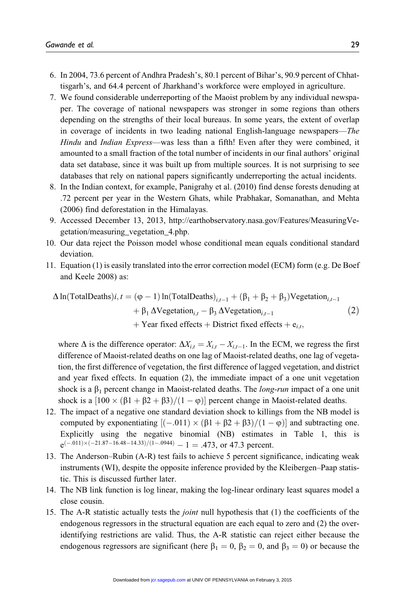- 6. In 2004, 73.6 percent of Andhra Pradesh's, 80.1 percent of Bihar's, 90.9 percent of Chhattisgarh's, and 64.4 percent of Jharkhand's workforce were employed in agriculture.
- 7. We found considerable underreporting of the Maoist problem by any individual newspaper. The coverage of national newspapers was stronger in some regions than others depending on the strengths of their local bureaus. In some years, the extent of overlap in coverage of incidents in two leading national English-language newspapers—The Hindu and Indian Express—was less than a fifth! Even after they were combined, it amounted to a small fraction of the total number of incidents in our final authors' original data set database, since it was built up from multiple sources. It is not surprising to see databases that rely on national papers significantly underreporting the actual incidents.
- 8. In the Indian context, for example, Panigrahy et al. (2010) find dense forests denuding at .72 percent per year in the Western Ghats, while Prabhakar, Somanathan, and Mehta (2006) find deforestation in the Himalayas.
- 9. Accessed December 13, 2013, http://earthobservatory.nasa.gov/Features/MeasuringVegetation/measuring\_vegetation\_4.php.
- 10. Our data reject the Poisson model whose conditional mean equals conditional standard deviation.
- 11. Equation (1) is easily translated into the error correction model (ECM) form (e.g. De Boef and Keele 2008) as:

 $\Delta \ln(\text{TotalDeaths})i, t = (\varphi - 1) \ln(\text{TotalDeaths})_{i,t-1} + (\beta_1 + \beta_2 + \beta_3) \text{Vegetation}_{i,t-1}$ +  $\beta_1 \Delta V$ egetation<sub>i,t</sub> -  $\beta_3 \Delta V$ egetation<sub>i,t-1</sub> + Year fixed effects + District fixed effects +  $e_{i,t}$ ;  $(2)$ 

where  $\Delta$  is the difference operator:  $\Delta X_{i,t} = X_{i,t} - X_{i,t-1}$ . In the ECM, we regress the first difference of Maoist-related deaths on one lag of Maoist-related deaths, one lag of vegetation, the first difference of vegetation, the first difference of lagged vegetation, and district and year fixed effects. In equation (2), the immediate impact of a one unit vegetation shock is a  $\beta_1$  percent change in Maoist-related deaths. The *long-run* impact of a one unit shock is a  $[100 \times (\beta 1 + \beta 2 + \beta 3)/(1 - \varphi)]$  percent change in Maoist-related deaths.

- 12. The impact of a negative one standard deviation shock to killings from the NB model is computed by exponentiating  $[(-.011) \times (\beta1 + \beta2 + \beta3)/(1 - \varphi)]$  and subtracting one. Explicitly using the negative binomial (NB) estimates in Table 1, this is  $e^{(-.011)\times(-21.87-16.48-14.33)/(1-.0944)} - 1 = .473$ , or 47.3 percent.
- 13. The Anderson–Rubin (A-R) test fails to achieve 5 percent significance, indicating weak instruments (WI), despite the opposite inference provided by the Kleibergen–Paap statistic. This is discussed further later.
- 14. The NB link function is log linear, making the log-linear ordinary least squares model a close cousin.
- 15. The A-R statistic actually tests the joint null hypothesis that (1) the coefficients of the endogenous regressors in the structural equation are each equal to zero and (2) the overidentifying restrictions are valid. Thus, the A-R statistic can reject either because the endogenous regressors are significant (here  $\beta_1 = 0$ ,  $\beta_2 = 0$ , and  $\beta_3 = 0$ ) or because the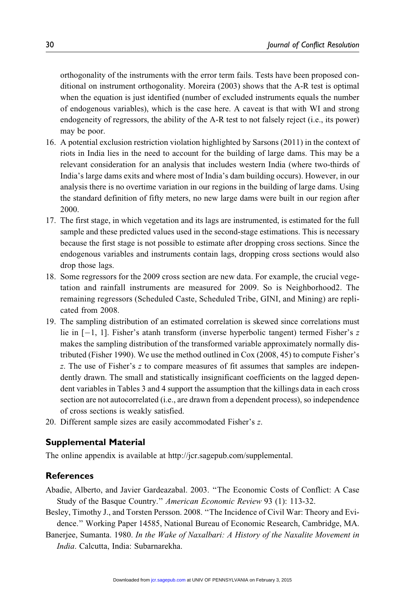orthogonality of the instruments with the error term fails. Tests have been proposed conditional on instrument orthogonality. Moreira (2003) shows that the A-R test is optimal when the equation is just identified (number of excluded instruments equals the number of endogenous variables), which is the case here. A caveat is that with WI and strong endogeneity of regressors, the ability of the A-R test to not falsely reject (i.e., its power) may be poor.

- 16. A potential exclusion restriction violation highlighted by Sarsons (2011) in the context of riots in India lies in the need to account for the building of large dams. This may be a relevant consideration for an analysis that includes western India (where two-thirds of India's large dams exits and where most of India's dam building occurs). However, in our analysis there is no overtime variation in our regions in the building of large dams. Using the standard definition of fifty meters, no new large dams were built in our region after 2000.
- 17. The first stage, in which vegetation and its lags are instrumented, is estimated for the full sample and these predicted values used in the second-stage estimations. This is necessary because the first stage is not possible to estimate after dropping cross sections. Since the endogenous variables and instruments contain lags, dropping cross sections would also drop those lags.
- 18. Some regressors for the 2009 cross section are new data. For example, the crucial vegetation and rainfall instruments are measured for 2009. So is Neighborhood2. The remaining regressors (Scheduled Caste, Scheduled Tribe, GINI, and Mining) are replicated from 2008.
- 19. The sampling distribution of an estimated correlation is skewed since correlations must lie in [-1, 1]. Fisher's atanh transform (inverse hyperbolic tangent) termed Fisher's z makes the sampling distribution of the transformed variable approximately normally distributed (Fisher 1990). We use the method outlined in Cox (2008, 45) to compute Fisher's z. The use of Fisher's z to compare measures of fit assumes that samples are independently drawn. The small and statistically insignificant coefficients on the lagged dependent variables in Tables 3 and 4 support the assumption that the killings data in each cross section are not autocorrelated (i.e., are drawn from a dependent process), so independence of cross sections is weakly satisfied.
- 20. Different sample sizes are easily accommodated Fisher's z.

#### Supplemental Material

The online appendix is available at<http://jcr.sagepub.com/supplemental>.

#### **References**

- Abadie, Alberto, and Javier Gardeazabal. 2003. ''The Economic Costs of Conflict: A Case Study of the Basque Country.'' American Economic Review 93 (1): 113-32.
- Besley, Timothy J., and Torsten Persson. 2008. ''The Incidence of Civil War: Theory and Evidence.'' Working Paper 14585, National Bureau of Economic Research, Cambridge, MA.
- Banerjee, Sumanta. 1980. In the Wake of Naxalbari: A History of the Naxalite Movement in India. Calcutta, India: Subarnarekha.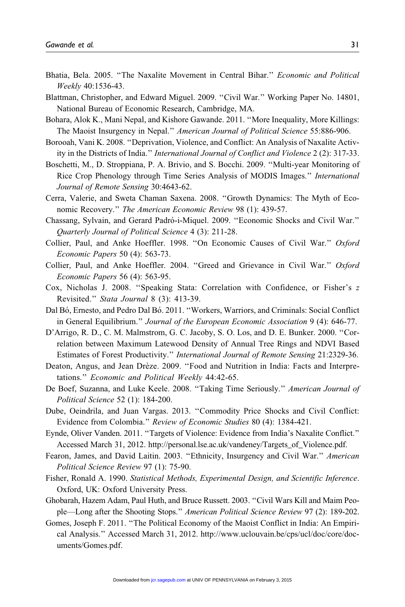- Bhatia, Bela. 2005. ''The Naxalite Movement in Central Bihar.'' Economic and Political Weekly 40:1536-43.
- Blattman, Christopher, and Edward Miguel. 2009. ''Civil War.'' Working Paper No. 14801, National Bureau of Economic Research, Cambridge, MA.
- Bohara, Alok K., Mani Nepal, and Kishore Gawande. 2011. ''More Inequality, More Killings: The Maoist Insurgency in Nepal.'' American Journal of Political Science 55:886-906.
- Borooah, Vani K. 2008. ''Deprivation, Violence, and Conflict: An Analysis of Naxalite Activity in the Districts of India.'' International Journal of Conflict and Violence 2 (2): 317-33.
- Boschetti, M., D. Stroppiana, P. A. Brivio, and S. Bocchi. 2009. ''Multi-year Monitoring of Rice Crop Phenology through Time Series Analysis of MODIS Images.'' International Journal of Remote Sensing 30:4643-62.
- Cerra, Valerie, and Sweta Chaman Saxena. 2008. ''Growth Dynamics: The Myth of Economic Recovery." The American Economic Review 98 (1): 439-57.
- Chassang, Sylvain, and Gerard Padró-i-Miquel. 2009. "Economic Shocks and Civil War." Quarterly Journal of Political Science 4 (3): 211-28.
- Collier, Paul, and Anke Hoeffler. 1998. ''On Economic Causes of Civil War.'' Oxford Economic Papers 50 (4): 563-73.
- Collier, Paul, and Anke Hoeffler. 2004. ''Greed and Grievance in Civil War.'' Oxford Economic Papers 56 (4): 563-95.
- Cox, Nicholas J. 2008. ''Speaking Stata: Correlation with Confidence, or Fisher's z Revisited." Stata Journal 8 (3): 413-39.
- Dal Bó, Ernesto, and Pedro Dal Bó. 2011. "Workers, Warriors, and Criminals: Social Conflict in General Equilibrium.'' Journal of the European Economic Association 9 (4): 646-77.
- D'Arrigo, R. D., C. M. Malmstrom, G. C. Jacoby, S. O. Los, and D. E. Bunker. 2000. ''Correlation between Maximum Latewood Density of Annual Tree Rings and NDVI Based Estimates of Forest Productivity.'' International Journal of Remote Sensing 21:2329-36.
- Deaton, Angus, and Jean Drèze. 2009. "Food and Nutrition in India: Facts and Interpretations.'' Economic and Political Weekly 44:42-65.
- De Boef, Suzanna, and Luke Keele. 2008. "Taking Time Seriously." American Journal of Political Science 52 (1): 184-200.
- Dube, Oeindrila, and Juan Vargas. 2013. ''Commodity Price Shocks and Civil Conflict: Evidence from Colombia.'' Review of Economic Studies 80 (4): 1384-421.
- Eynde, Oliver Vanden. 2011. ''Targets of Violence: Evidence from India's Naxalite Conflict.'' Accessed March 31, 2012. [http://personal.lse.ac.uk/vandeney/Targets\\_of\\_Violence.pdf](http://personal.lse.ac.uk/vandeney/Targets_of_Violence.pdf).
- Fearon, James, and David Laitin. 2003. "Ethnicity, Insurgency and Civil War." American Political Science Review 97 (1): 75-90.
- Fisher, Ronald A. 1990. Statistical Methods, Experimental Design, and Scientific Inference. Oxford, UK: Oxford University Press.
- Ghobarah, Hazem Adam, Paul Huth, and Bruce Russett. 2003. ''Civil Wars Kill and Maim People—Long after the Shooting Stops.'' American Political Science Review 97 (2): 189-202.
- Gomes, Joseph F. 2011. ''The Political Economy of the Maoist Conflict in India: An Empirical Analysis.'' Accessed March 31, 2012. [http://www.uclouvain.be/cps/ucl/doc/core/doc](http://www.uclouvain.be/cps/ucl/doc/core/documents/Gomes.pdf)[uments/Gomes.pdf.](http://www.uclouvain.be/cps/ucl/doc/core/documents/Gomes.pdf)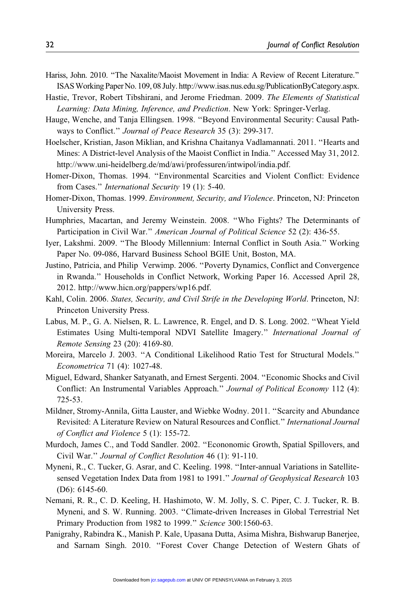- Hariss, John. 2010. ''The Naxalite/Maoist Movement in India: A Review of Recent Literature.'' ISASWorking Paper No. 109, 08 July.<http://www.isas.nus.edu.sg/PublicationByCategory.aspx>.
- Hastie, Trevor, Robert Tibshirani, and Jerome Friedman. 2009. The Elements of Statistical Learning: Data Mining, Inference, and Prediction. New York: Springer-Verlag.
- Hauge, Wenche, and Tanja Ellingsen. 1998. ''Beyond Environmental Security: Causal Pathways to Conflict.'' Journal of Peace Research 35 (3): 299-317.
- Hoelscher, Kristian, Jason Miklian, and Krishna Chaitanya Vadlamannati. 2011. ''Hearts and Mines: A District-level Analysis of the Maoist Conflict in India.'' Accessed May 31, 2012. [http://www.uni-heidelberg.de/md/awi/professuren/intwipol/india.pdf.](http://www.uni-heidelberg.de/md/awi/professuren/intwipol/india.pdf)
- Homer-Dixon, Thomas. 1994. ''Environmental Scarcities and Violent Conflict: Evidence from Cases." *International Security* 19 (1): 5-40.
- Homer-Dixon, Thomas. 1999. Environment, Security, and Violence. Princeton, NJ: Princeton University Press.
- Humphries, Macartan, and Jeremy Weinstein. 2008. ''Who Fights? The Determinants of Participation in Civil War." American Journal of Political Science 52 (2): 436-55.
- Iyer, Lakshmi. 2009. ''The Bloody Millennium: Internal Conflict in South Asia.'' Working Paper No. 09-086, Harvard Business School BGIE Unit, Boston, MA.
- Justino, Patricia, and Philip Verwimp. 2006. ''Poverty Dynamics, Conflict and Convergence in Rwanda.'' Households in Conflict Network, Working Paper 16. Accessed April 28, 2012.<http://www.hicn.org/pappers/wp16.pdf>.
- Kahl, Colin. 2006. States, Security, and Civil Strife in the Developing World. Princeton, NJ: Princeton University Press.
- Labus, M. P., G. A. Nielsen, R. L. Lawrence, R. Engel, and D. S. Long. 2002. ''Wheat Yield Estimates Using Multi-temporal NDVI Satellite Imagery.'' International Journal of Remote Sensing 23 (20): 4169-80.
- Moreira, Marcelo J. 2003. ''A Conditional Likelihood Ratio Test for Structural Models.'' Econometrica 71 (4): 1027-48.
- Miguel, Edward, Shanker Satyanath, and Ernest Sergenti. 2004. ''Economic Shocks and Civil Conflict: An Instrumental Variables Approach.'' Journal of Political Economy 112 (4): 725-53.
- Mildner, Stromy-Annila, Gitta Lauster, and Wiebke Wodny. 2011. ''Scarcity and Abundance Revisited: A Literature Review on Natural Resources and Conflict.'' International Journal of Conflict and Violence 5 (1): 155-72.
- Murdoch, James C., and Todd Sandler. 2002. ''Econonomic Growth, Spatial Spillovers, and Civil War.'' Journal of Conflict Resolution 46 (1): 91-110.
- Myneni, R., C. Tucker, G. Asrar, and C. Keeling. 1998. ''Inter-annual Variations in Satellitesensed Vegetation Index Data from 1981 to 1991." Journal of Geophysical Research 103 (D6): 6145-60.
- Nemani, R. R., C. D. Keeling, H. Hashimoto, W. M. Jolly, S. C. Piper, C. J. Tucker, R. B. Myneni, and S. W. Running. 2003. ''Climate-driven Increases in Global Terrestrial Net Primary Production from 1982 to 1999.'' Science 300:1560-63.
- Panigrahy, Rabindra K., Manish P. Kale, Upasana Dutta, Asima Mishra, Bishwarup Banerjee, and Sarnam Singh. 2010. ''Forest Cover Change Detection of Western Ghats of